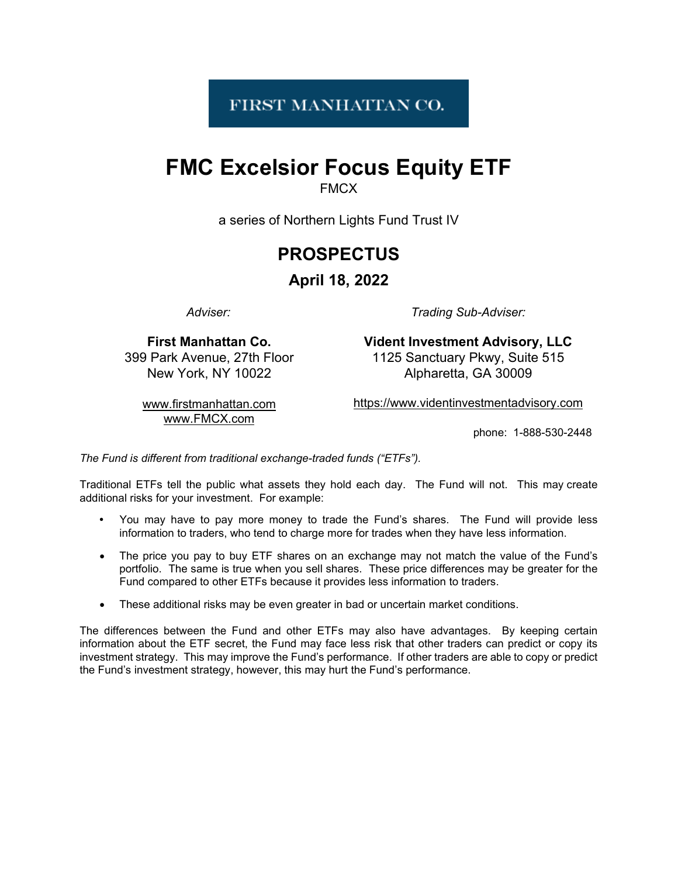# FIRST MANHATTAN CO.

# **FMC Excelsior Focus Equity ETF**

**FMCX** 

a series of Northern Lights Fund Trust IV

# **PROSPECTUS**

# **April 18, 2022**

*Adviser:*

*Trading Sub-Adviser:*

**First Manhattan Co.** 399 Park Avenue, 27th Floor New York, NY 10022

**Vident Investment Advisory, LLC** 1125 Sanctuary Pkwy, Suite 515 Alpharetta, GA 30009

[www.firstmanhattan.com](http://www.firstmanhattan.com/) [www.FMCX.com](http://www.fmcx.com/)

[https://www.videntinvestmentadvisory.com](https://www.videntinvestmentadvisory.com/)

phone: 1-888-530-2448

*The Fund is different from traditional exchange-traded funds ("ETFs").*

Traditional ETFs tell the public what assets they hold each day. The Fund will not. This may create additional risks for your investment. For example:

- You may have to pay more money to trade the Fund's shares. The Fund will provide less information to traders, who tend to charge more for trades when they have less information.
- The price you pay to buy ETF shares on an exchange may not match the value of the Fund's portfolio. The same is true when you sell shares. These price differences may be greater for the Fund compared to other ETFs because it provides less information to traders.
- These additional risks may be even greater in bad or uncertain market conditions.

The differences between the Fund and other ETFs may also have advantages. By keeping certain information about the ETF secret, the Fund may face less risk that other traders can predict or copy its investment strategy. This may improve the Fund's performance. If other traders are able to copy or predict the Fund's investment strategy, however, this may hurt the Fund's performance.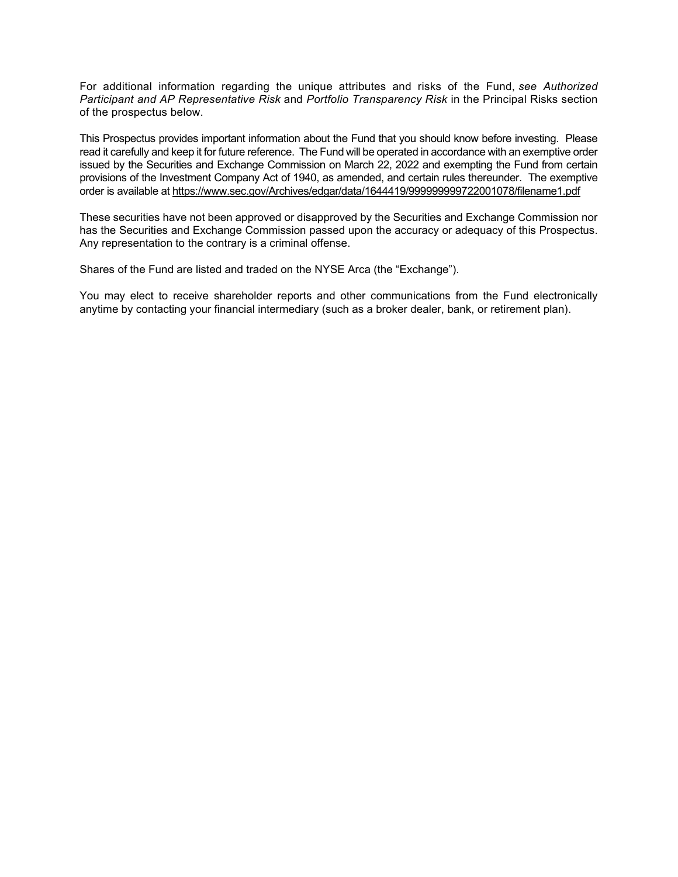For additional information regarding the unique attributes and risks of the Fund, *see Authorized Participant and AP Representative Risk* and *Portfolio Transparency Risk* in the Principal Risks section of the prospectus below.

This Prospectus provides important information about the Fund that you should know before investing. Please read it carefully and keep it for future reference. The Fund will be operated in accordance with an exemptive order issued by the Securities and Exchange Commission on March 22, 2022 and exempting the Fund from certain provisions of the Investment Company Act of 1940, as amended, and certain rules thereunder. The exemptive order is available at <https://www.sec.gov/Archives/edgar/data/1644419/999999999722001078/filename1.pdf>

These securities have not been approved or disapproved by the Securities and Exchange Commission nor has the Securities and Exchange Commission passed upon the accuracy or adequacy of this Prospectus. Any representation to the contrary is a criminal offense.

Shares of the Fund are listed and traded on the NYSE Arca (the "Exchange").

You may elect to receive shareholder reports and other communications from the Fund electronically anytime by contacting your financial intermediary (such as a broker dealer, bank, or retirement plan).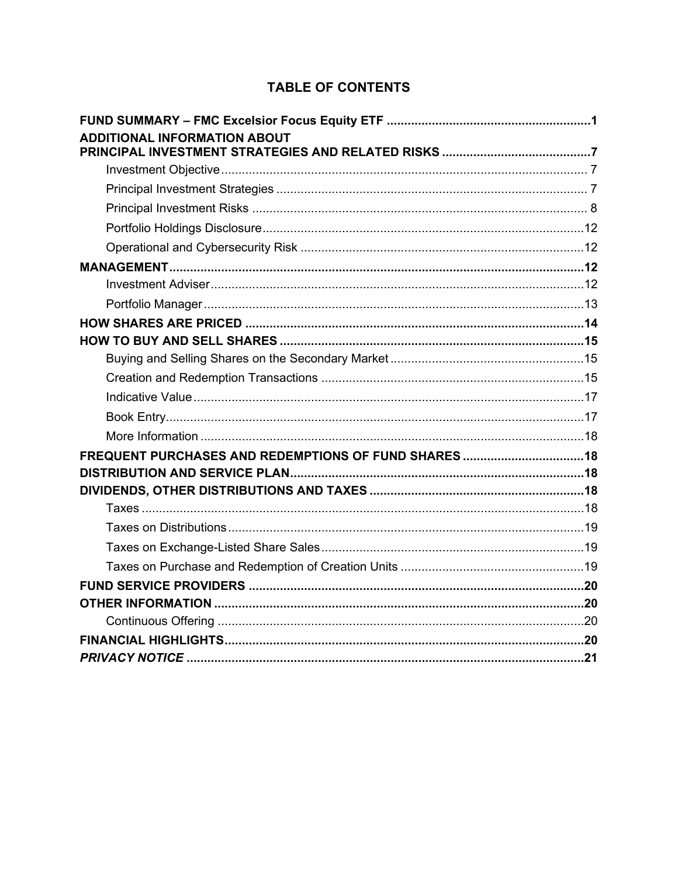# **TABLE OF CONTENTS**

| <b>ADDITIONAL INFORMATION ABOUT</b> |  |
|-------------------------------------|--|
|                                     |  |
|                                     |  |
|                                     |  |
|                                     |  |
|                                     |  |
|                                     |  |
|                                     |  |
|                                     |  |
|                                     |  |
|                                     |  |
|                                     |  |
|                                     |  |
|                                     |  |
|                                     |  |
|                                     |  |
|                                     |  |
|                                     |  |
|                                     |  |
|                                     |  |
|                                     |  |
|                                     |  |
|                                     |  |
|                                     |  |
|                                     |  |
|                                     |  |
|                                     |  |
|                                     |  |
|                                     |  |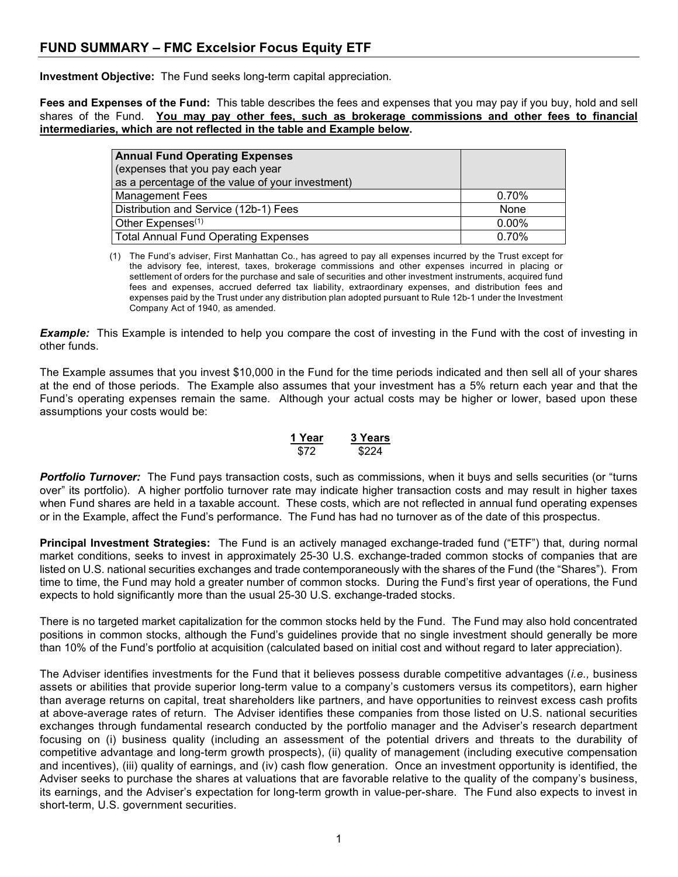# <span id="page-4-0"></span>**FUND SUMMARY – FMC Excelsior Focus Equity ETF**

**Investment Objective:** The Fund seeks long-term capital appreciation.

**Fees and Expenses of the Fund:** This table describes the fees and expenses that you may pay if you buy, hold and sell shares of the Fund. **You may pay other fees, such as brokerage commissions and other fees to financial intermediaries, which are not reflected in the table and Example below.**

| <b>Annual Fund Operating Expenses</b>                                                |          |
|--------------------------------------------------------------------------------------|----------|
| (expenses that you pay each year<br>as a percentage of the value of your investment) |          |
| <b>Management Fees</b>                                                               | 0.70%    |
| Distribution and Service (12b-1) Fees                                                | None     |
| Other Expenses <sup>(1)</sup>                                                        | $0.00\%$ |
| <b>Total Annual Fund Operating Expenses</b>                                          | 0.70%    |

(1) The Fund's adviser, First Manhattan Co., has agreed to pay all expenses incurred by the Trust except for the advisory fee, interest, taxes, brokerage commissions and other expenses incurred in placing or settlement of orders for the purchase and sale of securities and other investment instruments, acquired fund fees and expenses, accrued deferred tax liability, extraordinary expenses, and distribution fees and expenses paid by the Trust under any distribution plan adopted pursuant to Rule 12b-1 under the Investment Company Act of 1940, as amended.

*Example:* This Example is intended to help you compare the cost of investing in the Fund with the cost of investing in other funds.

The Example assumes that you invest \$10,000 in the Fund for the time periods indicated and then sell all of your shares at the end of those periods. The Example also assumes that your investment has a 5% return each year and that the Fund's operating expenses remain the same. Although your actual costs may be higher or lower, based upon these assumptions your costs would be:

> **1 Year 3 Years** \$72 \$224

*Portfolio Turnover:* The Fund pays transaction costs, such as commissions, when it buys and sells securities (or "turns over" its portfolio). A higher portfolio turnover rate may indicate higher transaction costs and may result in higher taxes when Fund shares are held in a taxable account. These costs, which are not reflected in annual fund operating expenses or in the Example, affect the Fund's performance. The Fund has had no turnover as of the date of this prospectus.

**Principal Investment Strategies:** The Fund is an actively managed exchange-traded fund ("ETF") that, during normal market conditions, seeks to invest in approximately 25-30 U.S. exchange-traded common stocks of companies that are listed on U.S. national securities exchanges and trade contemporaneously with the shares of the Fund (the "Shares"). From time to time, the Fund may hold a greater number of common stocks. During the Fund's first year of operations, the Fund expects to hold significantly more than the usual 25-30 U.S. exchange-traded stocks.

There is no targeted market capitalization for the common stocks held by the Fund. The Fund may also hold concentrated positions in common stocks, although the Fund's guidelines provide that no single investment should generally be more than 10% of the Fund's portfolio at acquisition (calculated based on initial cost and without regard to later appreciation).

The Adviser identifies investments for the Fund that it believes possess durable competitive advantages (*i.e.,* business assets or abilities that provide superior long-term value to a company's customers versus its competitors), earn higher than average returns on capital, treat shareholders like partners, and have opportunities to reinvest excess cash profits at above-average rates of return. The Adviser identifies these companies from those listed on U.S. national securities exchanges through fundamental research conducted by the portfolio manager and the Adviser's research department focusing on (i) business quality (including an assessment of the potential drivers and threats to the durability of competitive advantage and long-term growth prospects), (ii) quality of management (including executive compensation and incentives), (iii) quality of earnings, and (iv) cash flow generation. Once an investment opportunity is identified, the Adviser seeks to purchase the shares at valuations that are favorable relative to the quality of the company's business, its earnings, and the Adviser's expectation for long-term growth in value-per-share. The Fund also expects to invest in short-term, U.S. government securities.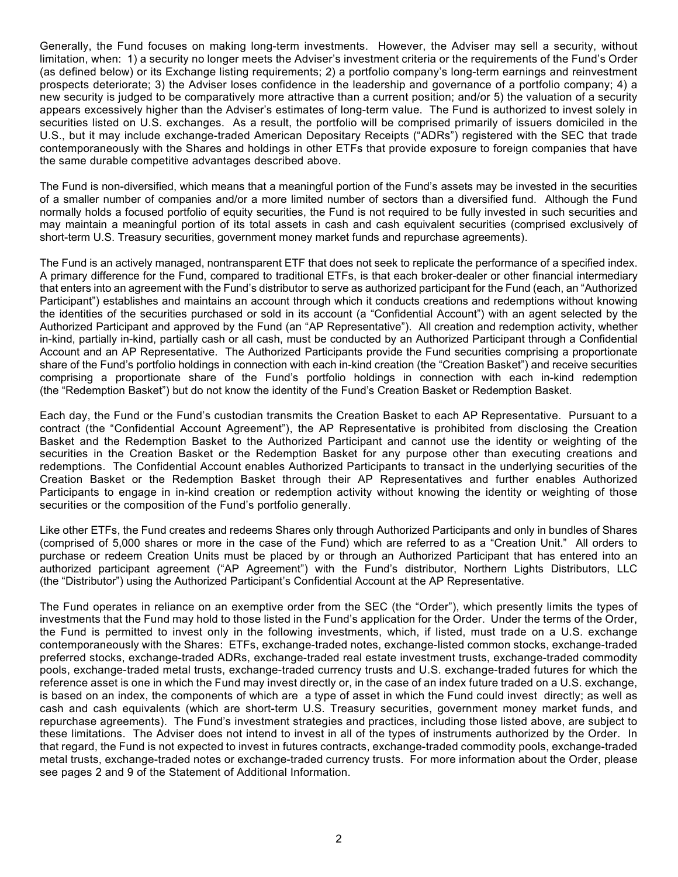Generally, the Fund focuses on making long-term investments. However, the Adviser may sell a security, without limitation, when: 1) a security no longer meets the Adviser's investment criteria or the requirements of the Fund's Order (as defined below) or its Exchange listing requirements; 2) a portfolio company's long-term earnings and reinvestment prospects deteriorate; 3) the Adviser loses confidence in the leadership and governance of a portfolio company; 4) a new security is judged to be comparatively more attractive than a current position; and/or 5) the valuation of a security appears excessively higher than the Adviser's estimates of long-term value. The Fund is authorized to invest solely in securities listed on U.S. exchanges. As a result, the portfolio will be comprised primarily of issuers domiciled in the U.S., but it may include exchange-traded American Depositary Receipts ("ADRs") registered with the SEC that trade contemporaneously with the Shares and holdings in other ETFs that provide exposure to foreign companies that have the same durable competitive advantages described above.

The Fund is non-diversified, which means that a meaningful portion of the Fund's assets may be invested in the securities of a smaller number of companies and/or a more limited number of sectors than a diversified fund. Although the Fund normally holds a focused portfolio of equity securities, the Fund is not required to be fully invested in such securities and may maintain a meaningful portion of its total assets in cash and cash equivalent securities (comprised exclusively of short-term U.S. Treasury securities, government money market funds and repurchase agreements).

The Fund is an actively managed, nontransparent ETF that does not seek to replicate the performance of a specified index. A primary difference for the Fund, compared to traditional ETFs, is that each broker-dealer or other financial intermediary that enters into an agreement with the Fund's distributor to serve as authorized participant for the Fund (each, an "Authorized Participant") establishes and maintains an account through which it conducts creations and redemptions without knowing the identities of the securities purchased or sold in its account (a "Confidential Account") with an agent selected by the Authorized Participant and approved by the Fund (an "AP Representative"). All creation and redemption activity, whether in-kind, partially in-kind, partially cash or all cash, must be conducted by an Authorized Participant through a Confidential Account and an AP Representative. The Authorized Participants provide the Fund securities comprising a proportionate share of the Fund's portfolio holdings in connection with each in-kind creation (the "Creation Basket") and receive securities comprising a proportionate share of the Fund's portfolio holdings in connection with each in-kind redemption (the "Redemption Basket") but do not know the identity of the Fund's Creation Basket or Redemption Basket.

Each day, the Fund or the Fund's custodian transmits the Creation Basket to each AP Representative. Pursuant to a contract (the "Confidential Account Agreement"), the AP Representative is prohibited from disclosing the Creation Basket and the Redemption Basket to the Authorized Participant and cannot use the identity or weighting of the securities in the Creation Basket or the Redemption Basket for any purpose other than executing creations and redemptions. The Confidential Account enables Authorized Participants to transact in the underlying securities of the Creation Basket or the Redemption Basket through their AP Representatives and further enables Authorized Participants to engage in in-kind creation or redemption activity without knowing the identity or weighting of those securities or the composition of the Fund's portfolio generally.

Like other ETFs, the Fund creates and redeems Shares only through Authorized Participants and only in bundles of Shares (comprised of 5,000 shares or more in the case of the Fund) which are referred to as a "Creation Unit." All orders to purchase or redeem Creation Units must be placed by or through an Authorized Participant that has entered into an authorized participant agreement ("AP Agreement") with the Fund's distributor, Northern Lights Distributors, LLC (the "Distributor") using the Authorized Participant's Confidential Account at the AP Representative.

The Fund operates in reliance on an exemptive order from the SEC (the "Order"), which presently limits the types of investments that the Fund may hold to those listed in the Fund's application for the Order. Under the terms of the Order, the Fund is permitted to invest only in the following investments, which, if listed, must trade on a U.S. exchange contemporaneously with the Shares: ETFs, exchange-traded notes, exchange-listed common stocks, exchange-traded preferred stocks, exchange-traded ADRs, exchange-traded real estate investment trusts, exchange-traded commodity pools, exchange-traded metal trusts, exchange-traded currency trusts and U.S. exchange-traded futures for which the reference asset is one in which the Fund may invest directly or, in the case of an index future traded on a U.S. exchange, is based on an index, the components of which are a type of asset in which the Fund could invest directly; as well as cash and cash equivalents (which are short-term U.S. Treasury securities, government money market funds, and repurchase agreements). The Fund's investment strategies and practices, including those listed above, are subject to these limitations. The Adviser does not intend to invest in all of the types of instruments authorized by the Order. In that regard, the Fund is not expected to invest in futures contracts, exchange-traded commodity pools, exchange-traded metal trusts, exchange-traded notes or exchange-traded currency trusts. For more information about the Order, please see pages 2 and 9 of the Statement of Additional Information.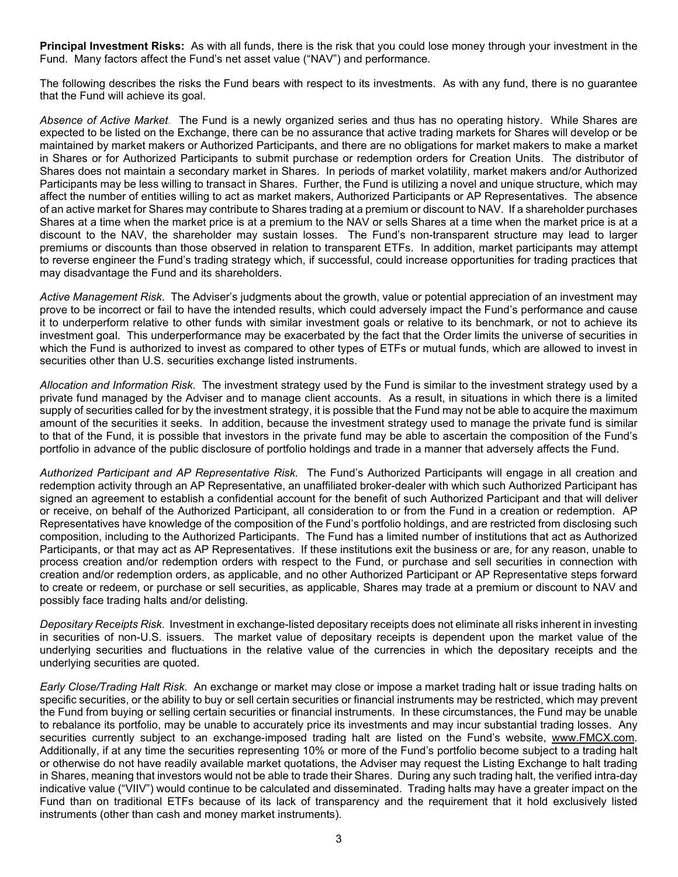**Principal Investment Risks:** As with all funds, there is the risk that you could lose money through your investment in the Fund. Many factors affect the Fund's net asset value ("NAV") and performance.

The following describes the risks the Fund bears with respect to its investments. As with any fund, there is no guarantee that the Fund will achieve its goal.

*Absence of Active Market.* The Fund is a newly organized series and thus has no operating history. While Shares are expected to be listed on the Exchange, there can be no assurance that active trading markets for Shares will develop or be maintained by market makers or Authorized Participants, and there are no obligations for market makers to make a market in Shares or for Authorized Participants to submit purchase or redemption orders for Creation Units. The distributor of Shares does not maintain a secondary market in Shares. In periods of market volatility, market makers and/or Authorized Participants may be less willing to transact in Shares. Further, the Fund is utilizing a novel and unique structure, which may affect the number of entities willing to act as market makers, Authorized Participants or AP Representatives. The absence of an active market for Shares may contribute to Shares trading at a premium or discount to NAV. If a shareholder purchases Shares at a time when the market price is at a premium to the NAV or sells Shares at a time when the market price is at a discount to the NAV, the shareholder may sustain losses. The Fund's non-transparent structure may lead to larger premiums or discounts than those observed in relation to transparent ETFs. In addition, market participants may attempt to reverse engineer the Fund's trading strategy which, if successful, could increase opportunities for trading practices that may disadvantage the Fund and its shareholders.

*Active Management Risk.* The Adviser's judgments about the growth, value or potential appreciation of an investment may prove to be incorrect or fail to have the intended results, which could adversely impact the Fund's performance and cause it to underperform relative to other funds with similar investment goals or relative to its benchmark, or not to achieve its investment goal. This underperformance may be exacerbated by the fact that the Order limits the universe of securities in which the Fund is authorized to invest as compared to other types of ETFs or mutual funds, which are allowed to invest in securities other than U.S. securities exchange listed instruments.

*Allocation and Information Risk.* The investment strategy used by the Fund is similar to the investment strategy used by a private fund managed by the Adviser and to manage client accounts. As a result, in situations in which there is a limited supply of securities called for by the investment strategy, it is possible that the Fund may not be able to acquire the maximum amount of the securities it seeks. In addition, because the investment strategy used to manage the private fund is similar to that of the Fund, it is possible that investors in the private fund may be able to ascertain the composition of the Fund's portfolio in advance of the public disclosure of portfolio holdings and trade in a manner that adversely affects the Fund.

*Authorized Participant and AP Representative Risk.* The Fund's Authorized Participants will engage in all creation and redemption activity through an AP Representative, an unaffiliated broker-dealer with which such Authorized Participant has signed an agreement to establish a confidential account for the benefit of such Authorized Participant and that will deliver or receive, on behalf of the Authorized Participant, all consideration to or from the Fund in a creation or redemption. AP Representatives have knowledge of the composition of the Fund's portfolio holdings, and are restricted from disclosing such composition, including to the Authorized Participants. The Fund has a limited number of institutions that act as Authorized Participants, or that may act as AP Representatives. If these institutions exit the business or are, for any reason, unable to process creation and/or redemption orders with respect to the Fund, or purchase and sell securities in connection with creation and/or redemption orders, as applicable, and no other Authorized Participant or AP Representative steps forward to create or redeem, or purchase or sell securities, as applicable, Shares may trade at a premium or discount to NAV and possibly face trading halts and/or delisting.

*Depositary Receipts Risk.* Investment in exchange-listed depositary receipts does not eliminate all risks inherent in investing in securities of non-U.S. issuers. The market value of depositary receipts is dependent upon the market value of the underlying securities and fluctuations in the relative value of the currencies in which the depositary receipts and the underlying securities are quoted.

*Early Close/Trading Halt Risk.* An exchange or market may close or impose a market trading halt or issue trading halts on specific securities, or the ability to buy or sell certain securities or financial instruments may be restricted, which may prevent the Fund from buying or selling certain securities or financial instruments. In these circumstances, the Fund may be unable to rebalance its portfolio, may be unable to accurately price its investments and may incur substantial trading losses. Any securities currently subject to an exchange-imposed trading halt are listed on the Fund's website, [www.FMCX.com.](http://www.fmcx.com/) Additionally, if at any time the securities representing 10% or more of the Fund's portfolio become subject to a trading halt or otherwise do not have readily available market quotations, the Adviser may request the Listing Exchange to halt trading in Shares, meaning that investors would not be able to trade their Shares. During any such trading halt, the verified intra-day indicative value ("VIIV") would continue to be calculated and disseminated. Trading halts may have a greater impact on the Fund than on traditional ETFs because of its lack of transparency and the requirement that it hold exclusively listed instruments (other than cash and money market instruments).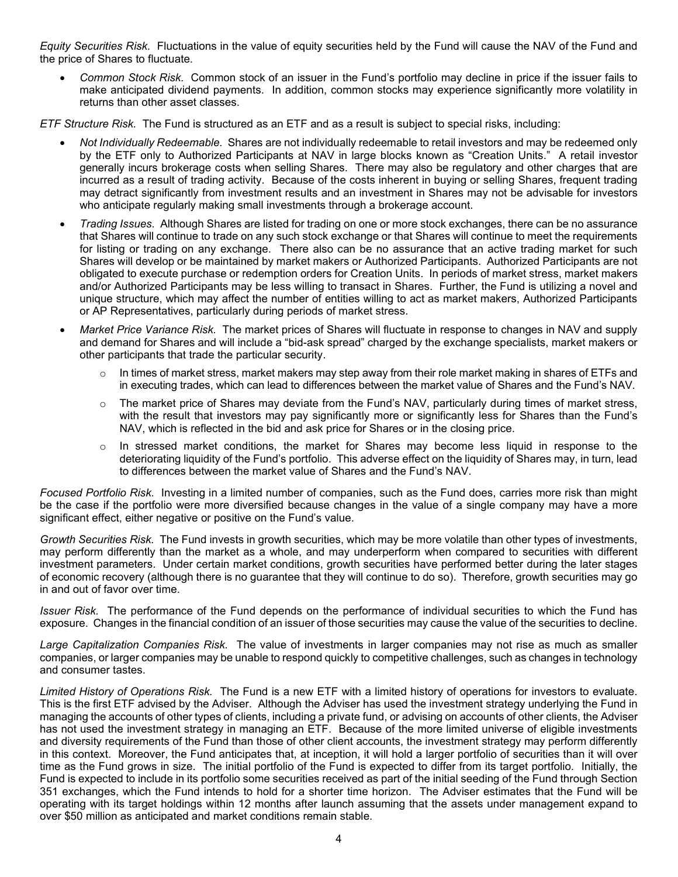*Equity Securities Risk.* Fluctuations in the value of equity securities held by the Fund will cause the NAV of the Fund and the price of Shares to fluctuate.

• *Common Stock Risk.* Common stock of an issuer in the Fund's portfolio may decline in price if the issuer fails to make anticipated dividend payments. In addition, common stocks may experience significantly more volatility in returns than other asset classes.

*ETF Structure Risk.* The Fund is structured as an ETF and as a result is subject to special risks, including:

- *Not Individually Redeemable.* Shares are not individually redeemable to retail investors and may be redeemed only by the ETF only to Authorized Participants at NAV in large blocks known as "Creation Units." A retail investor generally incurs brokerage costs when selling Shares. There may also be regulatory and other charges that are incurred as a result of trading activity. Because of the costs inherent in buying or selling Shares, frequent trading may detract significantly from investment results and an investment in Shares may not be advisable for investors who anticipate regularly making small investments through a brokerage account.
- *Trading Issues.* Although Shares are listed for trading on one or more stock exchanges, there can be no assurance that Shares will continue to trade on any such stock exchange or that Shares will continue to meet the requirements for listing or trading on any exchange. There also can be no assurance that an active trading market for such Shares will develop or be maintained by market makers or Authorized Participants. Authorized Participants are not obligated to execute purchase or redemption orders for Creation Units. In periods of market stress, market makers and/or Authorized Participants may be less willing to transact in Shares. Further, the Fund is utilizing a novel and unique structure, which may affect the number of entities willing to act as market makers, Authorized Participants or AP Representatives, particularly during periods of market stress.
- *Market Price Variance Risk.* The market prices of Shares will fluctuate in response to changes in NAV and supply and demand for Shares and will include a "bid-ask spread" charged by the exchange specialists, market makers or other participants that trade the particular security.
	- $\circ$  In times of market stress, market makers may step away from their role market making in shares of ETFs and in executing trades, which can lead to differences between the market value of Shares and the Fund's NAV.
	- $\circ$  The market price of Shares may deviate from the Fund's NAV, particularly during times of market stress, with the result that investors may pay significantly more or significantly less for Shares than the Fund's NAV, which is reflected in the bid and ask price for Shares or in the closing price.
	- $\circ$  In stressed market conditions, the market for Shares may become less liquid in response to the deteriorating liquidity of the Fund's portfolio. This adverse effect on the liquidity of Shares may, in turn, lead to differences between the market value of Shares and the Fund's NAV.

*Focused Portfolio Risk.* Investing in a limited number of companies, such as the Fund does, carries more risk than might be the case if the portfolio were more diversified because changes in the value of a single company may have a more significant effect, either negative or positive on the Fund's value.

*Growth Securities Risk.* The Fund invests in growth securities, which may be more volatile than other types of investments, may perform differently than the market as a whole, and may underperform when compared to securities with different investment parameters. Under certain market conditions, growth securities have performed better during the later stages of economic recovery (although there is no guarantee that they will continue to do so). Therefore, growth securities may go in and out of favor over time.

*Issuer Risk.* The performance of the Fund depends on the performance of individual securities to which the Fund has exposure. Changes in the financial condition of an issuer of those securities may cause the value of the securities to decline.

*Large Capitalization Companies Risk.* The value of investments in larger companies may not rise as much as smaller companies, or larger companies may be unable to respond quickly to competitive challenges, such as changes in technology and consumer tastes.

*Limited History of Operations Risk.* The Fund is a new ETF with a limited history of operations for investors to evaluate. This is the first ETF advised by the Adviser. Although the Adviser has used the investment strategy underlying the Fund in managing the accounts of other types of clients, including a private fund, or advising on accounts of other clients, the Adviser has not used the investment strategy in managing an ETF. Because of the more limited universe of eligible investments and diversity requirements of the Fund than those of other client accounts, the investment strategy may perform differently in this context. Moreover, the Fund anticipates that, at inception, it will hold a larger portfolio of securities than it will over time as the Fund grows in size. The initial portfolio of the Fund is expected to differ from its target portfolio. Initially, the Fund is expected to include in its portfolio some securities received as part of the initial seeding of the Fund through Section 351 exchanges, which the Fund intends to hold for a shorter time horizon. The Adviser estimates that the Fund will be operating with its target holdings within 12 months after launch assuming that the assets under management expand to over \$50 million as anticipated and market conditions remain stable.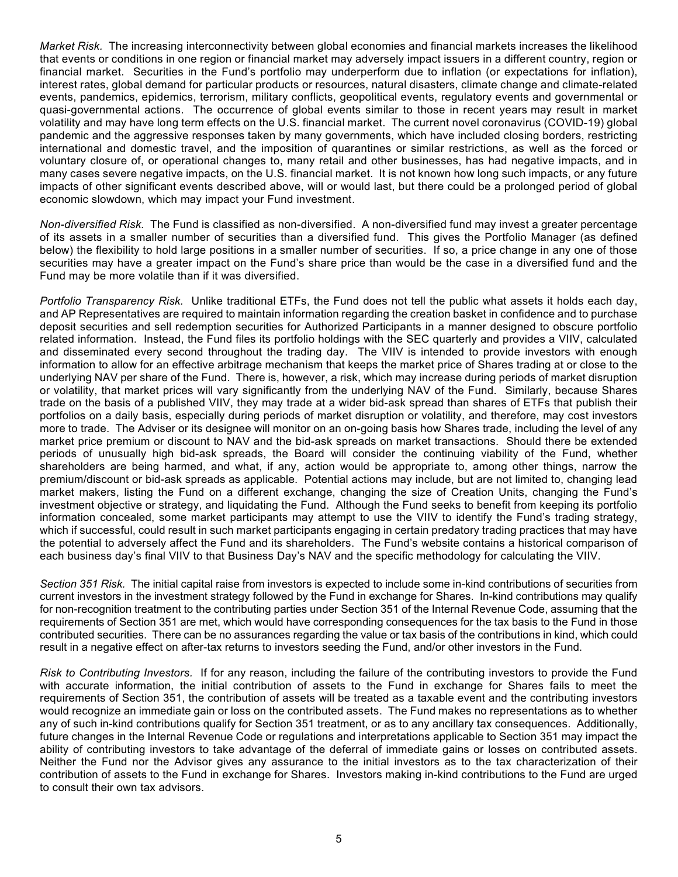*Market Risk.* The increasing interconnectivity between global economies and financial markets increases the likelihood that events or conditions in one region or financial market may adversely impact issuers in a different country, region or financial market. Securities in the Fund's portfolio may underperform due to inflation (or expectations for inflation), interest rates, global demand for particular products or resources, natural disasters, climate change and climate-related events, pandemics, epidemics, terrorism, military conflicts, geopolitical events, regulatory events and governmental or quasi-governmental actions. The occurrence of global events similar to those in recent years may result in market volatility and may have long term effects on the U.S. financial market. The current novel coronavirus (COVID-19) global pandemic and the aggressive responses taken by many governments, which have included closing borders, restricting international and domestic travel, and the imposition of quarantines or similar restrictions, as well as the forced or voluntary closure of, or operational changes to, many retail and other businesses, has had negative impacts, and in many cases severe negative impacts, on the U.S. financial market. It is not known how long such impacts, or any future impacts of other significant events described above, will or would last, but there could be a prolonged period of global economic slowdown, which may impact your Fund investment.

*Non-diversified Risk.* The Fund is classified as non-diversified. A non-diversified fund may invest a greater percentage of its assets in a smaller number of securities than a diversified fund. This gives the Portfolio Manager (as defined below) the flexibility to hold large positions in a smaller number of securities. If so, a price change in any one of those securities may have a greater impact on the Fund's share price than would be the case in a diversified fund and the Fund may be more volatile than if it was diversified.

*Portfolio Transparency Risk.* Unlike traditional ETFs, the Fund does not tell the public what assets it holds each day, and AP Representatives are required to maintain information regarding the creation basket in confidence and to purchase deposit securities and sell redemption securities for Authorized Participants in a manner designed to obscure portfolio related information. Instead, the Fund files its portfolio holdings with the SEC quarterly and provides a VIIV, calculated and disseminated every second throughout the trading day. The VIIV is intended to provide investors with enough information to allow for an effective arbitrage mechanism that keeps the market price of Shares trading at or close to the underlying NAV per share of the Fund. There is, however, a risk, which may increase during periods of market disruption or volatility, that market prices will vary significantly from the underlying NAV of the Fund. Similarly, because Shares trade on the basis of a published VIIV, they may trade at a wider bid-ask spread than shares of ETFs that publish their portfolios on a daily basis, especially during periods of market disruption or volatility, and therefore, may cost investors more to trade. The Adviser or its designee will monitor on an on-going basis how Shares trade, including the level of any market price premium or discount to NAV and the bid-ask spreads on market transactions. Should there be extended periods of unusually high bid-ask spreads, the Board will consider the continuing viability of the Fund, whether shareholders are being harmed, and what, if any, action would be appropriate to, among other things, narrow the premium/discount or bid-ask spreads as applicable. Potential actions may include, but are not limited to, changing lead market makers, listing the Fund on a different exchange, changing the size of Creation Units, changing the Fund's investment objective or strategy, and liquidating the Fund. Although the Fund seeks to benefit from keeping its portfolio information concealed, some market participants may attempt to use the VIIV to identify the Fund's trading strategy, which if successful, could result in such market participants engaging in certain predatory trading practices that may have the potential to adversely affect the Fund and its shareholders. The Fund's website contains a historical comparison of each business day's final VIIV to that Business Day's NAV and the specific methodology for calculating the VIIV.

*Section 351 Risk.* The initial capital raise from investors is expected to include some in-kind contributions of securities from current investors in the investment strategy followed by the Fund in exchange for Shares. In-kind contributions may qualify for non-recognition treatment to the contributing parties under Section 351 of the Internal Revenue Code, assuming that the requirements of Section 351 are met, which would have corresponding consequences for the tax basis to the Fund in those contributed securities. There can be no assurances regarding the value or tax basis of the contributions in kind, which could result in a negative effect on after-tax returns to investors seeding the Fund, and/or other investors in the Fund.

*Risk to Contributing Investors.* If for any reason, including the failure of the contributing investors to provide the Fund with accurate information, the initial contribution of assets to the Fund in exchange for Shares fails to meet the requirements of Section 351, the contribution of assets will be treated as a taxable event and the contributing investors would recognize an immediate gain or loss on the contributed assets. The Fund makes no representations as to whether any of such in-kind contributions qualify for Section 351 treatment, or as to any ancillary tax consequences. Additionally, future changes in the Internal Revenue Code or regulations and interpretations applicable to Section 351 may impact the ability of contributing investors to take advantage of the deferral of immediate gains or losses on contributed assets. Neither the Fund nor the Advisor gives any assurance to the initial investors as to the tax characterization of their contribution of assets to the Fund in exchange for Shares. Investors making in-kind contributions to the Fund are urged to consult their own tax advisors.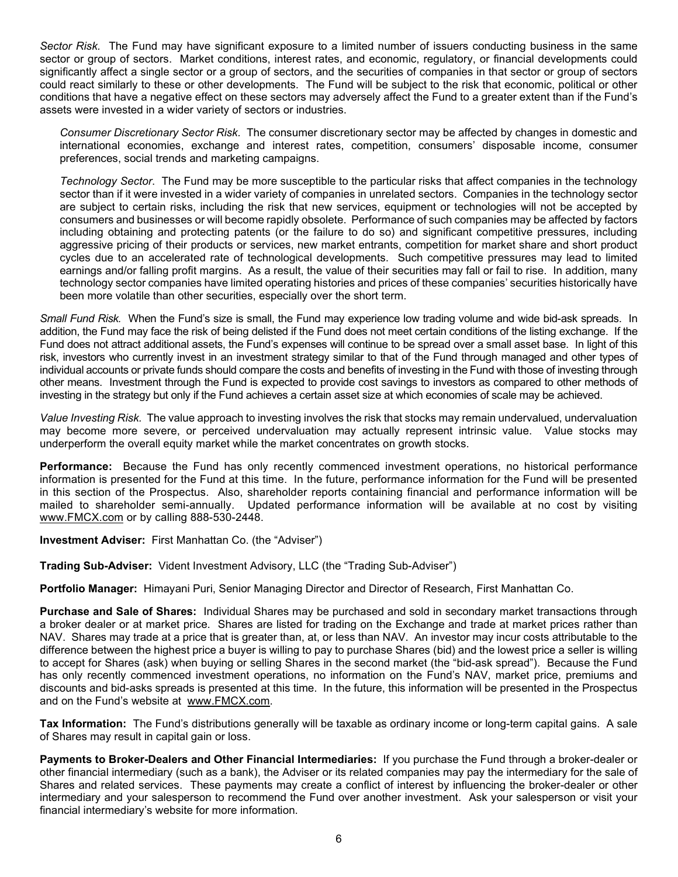*Sector Risk.* The Fund may have significant exposure to a limited number of issuers conducting business in the same sector or group of sectors. Market conditions, interest rates, and economic, regulatory, or financial developments could significantly affect a single sector or a group of sectors, and the securities of companies in that sector or group of sectors could react similarly to these or other developments. The Fund will be subject to the risk that economic, political or other conditions that have a negative effect on these sectors may adversely affect the Fund to a greater extent than if the Fund's assets were invested in a wider variety of sectors or industries.

*Consumer Discretionary Sector Risk.* The consumer discretionary sector may be affected by changes in domestic and international economies, exchange and interest rates, competition, consumers' disposable income, consumer preferences, social trends and marketing campaigns.

*Technology Sector*. The Fund may be more susceptible to the particular risks that affect companies in the technology sector than if it were invested in a wider variety of companies in unrelated sectors. Companies in the technology sector are subject to certain risks, including the risk that new services, equipment or technologies will not be accepted by consumers and businesses or will become rapidly obsolete. Performance of such companies may be affected by factors including obtaining and protecting patents (or the failure to do so) and significant competitive pressures, including aggressive pricing of their products or services, new market entrants, competition for market share and short product cycles due to an accelerated rate of technological developments. Such competitive pressures may lead to limited earnings and/or falling profit margins. As a result, the value of their securities may fall or fail to rise. In addition, many technology sector companies have limited operating histories and prices of these companies' securities historically have been more volatile than other securities, especially over the short term.

*Small Fund Risk.* When the Fund's size is small, the Fund may experience low trading volume and wide bid-ask spreads. In addition, the Fund may face the risk of being delisted if the Fund does not meet certain conditions of the listing exchange. If the Fund does not attract additional assets, the Fund's expenses will continue to be spread over a small asset base. In light of this risk, investors who currently invest in an investment strategy similar to that of the Fund through managed and other types of individual accounts or private funds should compare the costs and benefits of investing in the Fund with those of investing through other means. Investment through the Fund is expected to provide cost savings to investors as compared to other methods of investing in the strategy but only if the Fund achieves a certain asset size at which economies of scale may be achieved.

*Value Investing Risk.* The value approach to investing involves the risk that stocks may remain undervalued, undervaluation may become more severe, or perceived undervaluation may actually represent intrinsic value. Value stocks may underperform the overall equity market while the market concentrates on growth stocks.

**Performance:** Because the Fund has only recently commenced investment operations, no historical performance information is presented for the Fund at this time. In the future, performance information for the Fund will be presented in this section of the Prospectus. Also, shareholder reports containing financial and performance information will be mailed to shareholder semi-annually. Updated performance information will be available at no cost by visiting [www.FMCX.com](http://www.fmcx.com/) or by calling 888-530-2448.

**Investment Adviser:** First Manhattan Co. (the "Adviser")

**Trading Sub-Adviser:** Vident Investment Advisory, LLC (the "Trading Sub-Adviser")

**Portfolio Manager:** Himayani Puri, Senior Managing Director and Director of Research, First Manhattan Co.

**Purchase and Sale of Shares:** Individual Shares may be purchased and sold in secondary market transactions through a broker dealer or at market price. Shares are listed for trading on the Exchange and trade at market prices rather than NAV. Shares may trade at a price that is greater than, at, or less than NAV. An investor may incur costs attributable to the difference between the highest price a buyer is willing to pay to purchase Shares (bid) and the lowest price a seller is willing to accept for Shares (ask) when buying or selling Shares in the second market (the "bid-ask spread"). Because the Fund has only recently commenced investment operations, no information on the Fund's NAV, market price, premiums and discounts and bid-asks spreads is presented at this time. In the future, this information will be presented in the Prospectus and on the Fund's website at [www.FMCX.com.](http://www.fmcx.com/)

**Tax Information:** The Fund's distributions generally will be taxable as ordinary income or long-term capital gains. A sale of Shares may result in capital gain or loss.

**Payments to Broker-Dealers and Other Financial Intermediaries:** If you purchase the Fund through a broker-dealer or other financial intermediary (such as a bank), the Adviser or its related companies may pay the intermediary for the sale of Shares and related services. These payments may create a conflict of interest by influencing the broker-dealer or other intermediary and your salesperson to recommend the Fund over another investment. Ask your salesperson or visit your financial intermediary's website for more information.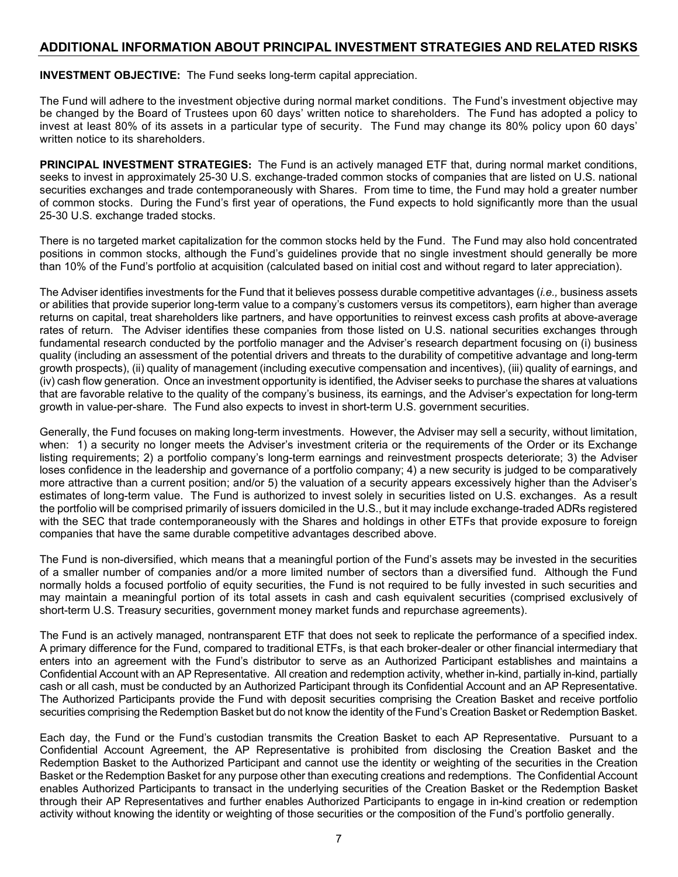### <span id="page-10-0"></span>**ADDITIONAL INFORMATION ABOUT PRINCIPAL INVESTMENT STRATEGIES AND RELATED RISKS**

<span id="page-10-1"></span>**INVESTMENT OBJECTIVE:** The Fund seeks long-term capital appreciation.

The Fund will adhere to the investment objective during normal market conditions. The Fund's investment objective may be changed by the Board of Trustees upon 60 days' written notice to shareholders. The Fund has adopted a policy to invest at least 80% of its assets in a particular type of security. The Fund may change its 80% policy upon 60 days' written notice to its shareholders.

<span id="page-10-2"></span>**PRINCIPAL INVESTMENT STRATEGIES:** The Fund is an actively managed ETF that, during normal market conditions, seeks to invest in approximately 25-30 U.S. exchange-traded common stocks of companies that are listed on U.S. national securities exchanges and trade contemporaneously with Shares. From time to time, the Fund may hold a greater number of common stocks. During the Fund's first year of operations, the Fund expects to hold significantly more than the usual 25-30 U.S. exchange traded stocks.

There is no targeted market capitalization for the common stocks held by the Fund. The Fund may also hold concentrated positions in common stocks, although the Fund's guidelines provide that no single investment should generally be more than 10% of the Fund's portfolio at acquisition (calculated based on initial cost and without regard to later appreciation).

The Adviser identifies investments for the Fund that it believes possess durable competitive advantages (*i.e.,* business assets or abilities that provide superior long-term value to a company's customers versus its competitors), earn higher than average returns on capital, treat shareholders like partners, and have opportunities to reinvest excess cash profits at above-average rates of return. The Adviser identifies these companies from those listed on U.S. national securities exchanges through fundamental research conducted by the portfolio manager and the Adviser's research department focusing on (i) business quality (including an assessment of the potential drivers and threats to the durability of competitive advantage and long-term growth prospects), (ii) quality of management (including executive compensation and incentives), (iii) quality of earnings, and (iv) cash flow generation. Once an investment opportunity is identified, the Adviser seeks to purchase the shares at valuations that are favorable relative to the quality of the company's business, its earnings, and the Adviser's expectation for long-term growth in value-per-share. The Fund also expects to invest in short-term U.S. government securities.

Generally, the Fund focuses on making long-term investments. However, the Adviser may sell a security, without limitation, when: 1) a security no longer meets the Adviser's investment criteria or the requirements of the Order or its Exchange listing requirements; 2) a portfolio company's long-term earnings and reinvestment prospects deteriorate; 3) the Adviser loses confidence in the leadership and governance of a portfolio company; 4) a new security is judged to be comparatively more attractive than a current position; and/or 5) the valuation of a security appears excessively higher than the Adviser's estimates of long-term value. The Fund is authorized to invest solely in securities listed on U.S. exchanges. As a result the portfolio will be comprised primarily of issuers domiciled in the U.S., but it may include exchange-traded ADRs registered with the SEC that trade contemporaneously with the Shares and holdings in other ETFs that provide exposure to foreign companies that have the same durable competitive advantages described above.

The Fund is non-diversified, which means that a meaningful portion of the Fund's assets may be invested in the securities of a smaller number of companies and/or a more limited number of sectors than a diversified fund. Although the Fund normally holds a focused portfolio of equity securities, the Fund is not required to be fully invested in such securities and may maintain a meaningful portion of its total assets in cash and cash equivalent securities (comprised exclusively of short-term U.S. Treasury securities, government money market funds and repurchase agreements).

The Fund is an actively managed, nontransparent ETF that does not seek to replicate the performance of a specified index. A primary difference for the Fund, compared to traditional ETFs, is that each broker-dealer or other financial intermediary that enters into an agreement with the Fund's distributor to serve as an Authorized Participant establishes and maintains a Confidential Account with an AP Representative. All creation and redemption activity, whether in-kind, partially in-kind, partially cash or all cash, must be conducted by an Authorized Participant through its Confidential Account and an AP Representative. The Authorized Participants provide the Fund with deposit securities comprising the Creation Basket and receive portfolio securities comprising the Redemption Basket but do not know the identity of the Fund's Creation Basket or Redemption Basket.

Each day, the Fund or the Fund's custodian transmits the Creation Basket to each AP Representative. Pursuant to a Confidential Account Agreement, the AP Representative is prohibited from disclosing the Creation Basket and the Redemption Basket to the Authorized Participant and cannot use the identity or weighting of the securities in the Creation Basket or the Redemption Basket for any purpose other than executing creations and redemptions. The Confidential Account enables Authorized Participants to transact in the underlying securities of the Creation Basket or the Redemption Basket through their AP Representatives and further enables Authorized Participants to engage in in-kind creation or redemption activity without knowing the identity or weighting of those securities or the composition of the Fund's portfolio generally.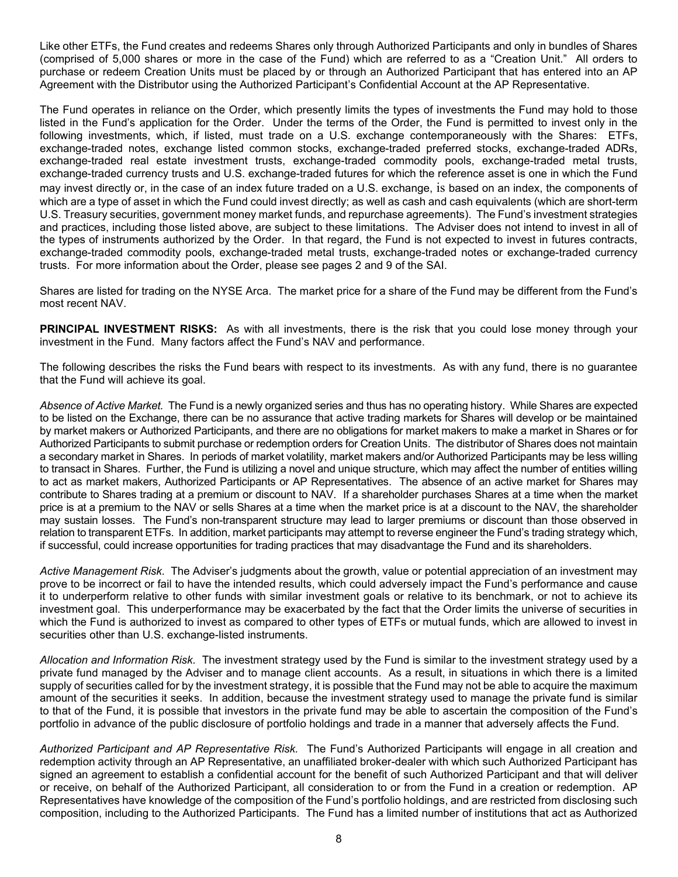Like other ETFs, the Fund creates and redeems Shares only through Authorized Participants and only in bundles of Shares (comprised of 5,000 shares or more in the case of the Fund) which are referred to as a "Creation Unit." All orders to purchase or redeem Creation Units must be placed by or through an Authorized Participant that has entered into an AP Agreement with the Distributor using the Authorized Participant's Confidential Account at the AP Representative.

The Fund operates in reliance on the Order, which presently limits the types of investments the Fund may hold to those listed in the Fund's application for the Order. Under the terms of the Order, the Fund is permitted to invest only in the following investments, which, if listed, must trade on a U.S. exchange contemporaneously with the Shares: ETFs, exchange-traded notes, exchange listed common stocks, exchange-traded preferred stocks, exchange-traded ADRs, exchange-traded real estate investment trusts, exchange-traded commodity pools, exchange-traded metal trusts, exchange-traded currency trusts and U.S. exchange-traded futures for which the reference asset is one in which the Fund may invest directly or, in the case of an index future traded on a U.S. exchange, is based on an index, the components of which are a type of asset in which the Fund could invest directly; as well as cash and cash equivalents (which are short-term U.S. Treasury securities, government money market funds, and repurchase agreements). The Fund's investment strategies and practices, including those listed above, are subject to these limitations. The Adviser does not intend to invest in all of the types of instruments authorized by the Order. In that regard, the Fund is not expected to invest in futures contracts, exchange-traded commodity pools, exchange-traded metal trusts, exchange-traded notes or exchange-traded currency trusts. For more information about the Order, please see pages 2 and 9 of the SAI.

Shares are listed for trading on the NYSE Arca. The market price for a share of the Fund may be different from the Fund's most recent NAV.

<span id="page-11-0"></span>**PRINCIPAL INVESTMENT RISKS:** As with all investments, there is the risk that you could lose money through your investment in the Fund. Many factors affect the Fund's NAV and performance.

The following describes the risks the Fund bears with respect to its investments. As with any fund, there is no guarantee that the Fund will achieve its goal.

*Absence of Active Market.* The Fund is a newly organized series and thus has no operating history. While Shares are expected to be listed on the Exchange, there can be no assurance that active trading markets for Shares will develop or be maintained by market makers or Authorized Participants, and there are no obligations for market makers to make a market in Shares or for Authorized Participants to submit purchase or redemption orders for Creation Units. The distributor of Shares does not maintain a secondary market in Shares. In periods of market volatility, market makers and/or Authorized Participants may be less willing to transact in Shares. Further, the Fund is utilizing a novel and unique structure, which may affect the number of entities willing to act as market makers, Authorized Participants or AP Representatives. The absence of an active market for Shares may contribute to Shares trading at a premium or discount to NAV. If a shareholder purchases Shares at a time when the market price is at a premium to the NAV or sells Shares at a time when the market price is at a discount to the NAV, the shareholder may sustain losses. The Fund's non-transparent structure may lead to larger premiums or discount than those observed in relation to transparent ETFs. In addition, market participants may attempt to reverse engineer the Fund's trading strategy which, if successful, could increase opportunities for trading practices that may disadvantage the Fund and its shareholders.

*Active Management Risk.* The Adviser's judgments about the growth, value or potential appreciation of an investment may prove to be incorrect or fail to have the intended results, which could adversely impact the Fund's performance and cause it to underperform relative to other funds with similar investment goals or relative to its benchmark, or not to achieve its investment goal. This underperformance may be exacerbated by the fact that the Order limits the universe of securities in which the Fund is authorized to invest as compared to other types of ETFs or mutual funds, which are allowed to invest in securities other than U.S. exchange-listed instruments.

*Allocation and Information Risk.* The investment strategy used by the Fund is similar to the investment strategy used by a private fund managed by the Adviser and to manage client accounts. As a result, in situations in which there is a limited supply of securities called for by the investment strategy, it is possible that the Fund may not be able to acquire the maximum amount of the securities it seeks. In addition, because the investment strategy used to manage the private fund is similar to that of the Fund, it is possible that investors in the private fund may be able to ascertain the composition of the Fund's portfolio in advance of the public disclosure of portfolio holdings and trade in a manner that adversely affects the Fund.

*Authorized Participant and AP Representative Risk.* The Fund's Authorized Participants will engage in all creation and redemption activity through an AP Representative, an unaffiliated broker-dealer with which such Authorized Participant has signed an agreement to establish a confidential account for the benefit of such Authorized Participant and that will deliver or receive, on behalf of the Authorized Participant, all consideration to or from the Fund in a creation or redemption. AP Representatives have knowledge of the composition of the Fund's portfolio holdings, and are restricted from disclosing such composition, including to the Authorized Participants. The Fund has a limited number of institutions that act as Authorized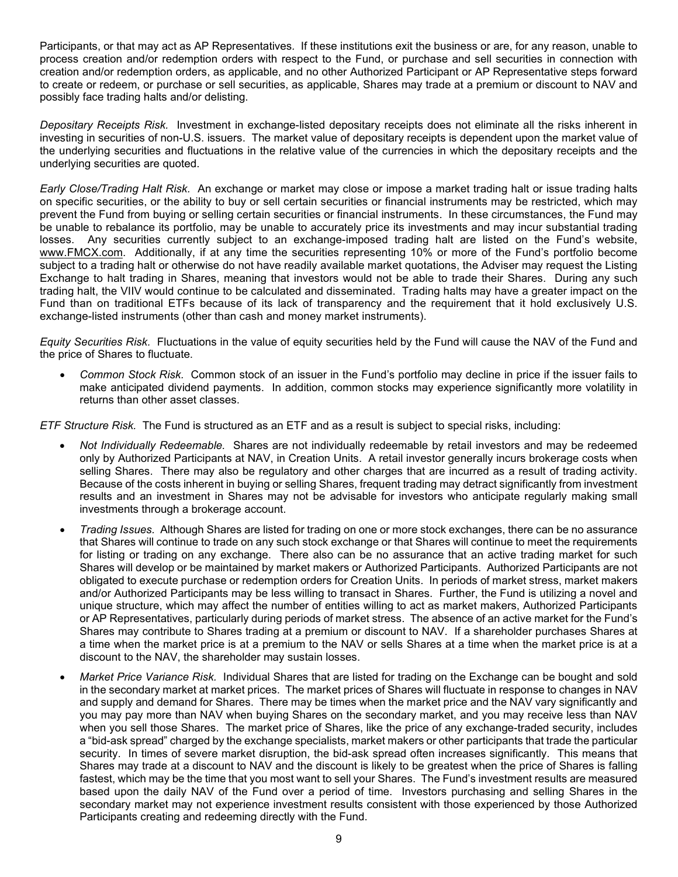Participants, or that may act as AP Representatives*.* If these institutions exit the business or are, for any reason, unable to process creation and/or redemption orders with respect to the Fund, or purchase and sell securities in connection with creation and/or redemption orders, as applicable, and no other Authorized Participant or AP Representative steps forward to create or redeem, or purchase or sell securities, as applicable, Shares may trade at a premium or discount to NAV and possibly face trading halts and/or delisting.

*Depositary Receipts Risk.* Investment in exchange-listed depositary receipts does not eliminate all the risks inherent in investing in securities of non-U.S. issuers. The market value of depositary receipts is dependent upon the market value of the underlying securities and fluctuations in the relative value of the currencies in which the depositary receipts and the underlying securities are quoted.

*Early Close/Trading Halt Risk.* An exchange or market may close or impose a market trading halt or issue trading halts on specific securities, or the ability to buy or sell certain securities or financial instruments may be restricted, which may prevent the Fund from buying or selling certain securities or financial instruments. In these circumstances, the Fund may be unable to rebalance its portfolio, may be unable to accurately price its investments and may incur substantial trading losses. Any securities currently subject to an exchange-imposed trading halt are listed on the Fund's website, [www.FMCX.com.](http://www.fmcx.com/) Additionally, if at any time the securities representing 10% or more of the Fund's portfolio become subject to a trading halt or otherwise do not have readily available market quotations, the Adviser may request the Listing Exchange to halt trading in Shares, meaning that investors would not be able to trade their Shares. During any such trading halt, the VIIV would continue to be calculated and disseminated. Trading halts may have a greater impact on the Fund than on traditional ETFs because of its lack of transparency and the requirement that it hold exclusively U.S. exchange-listed instruments (other than cash and money market instruments).

*Equity Securities Risk.* Fluctuations in the value of equity securities held by the Fund will cause the NAV of the Fund and the price of Shares to fluctuate.

• *Common Stock Risk.* Common stock of an issuer in the Fund's portfolio may decline in price if the issuer fails to make anticipated dividend payments. In addition, common stocks may experience significantly more volatility in returns than other asset classes.

*ETF Structure Risk.* The Fund is structured as an ETF and as a result is subject to special risks, including:

- *Not Individually Redeemable.* Shares are not individually redeemable by retail investors and may be redeemed only by Authorized Participants at NAV, in Creation Units. A retail investor generally incurs brokerage costs when selling Shares. There may also be regulatory and other charges that are incurred as a result of trading activity. Because of the costs inherent in buying or selling Shares, frequent trading may detract significantly from investment results and an investment in Shares may not be advisable for investors who anticipate regularly making small investments through a brokerage account.
- *Trading Issues.* Although Shares are listed for trading on one or more stock exchanges, there can be no assurance that Shares will continue to trade on any such stock exchange or that Shares will continue to meet the requirements for listing or trading on any exchange. There also can be no assurance that an active trading market for such Shares will develop or be maintained by market makers or Authorized Participants. Authorized Participants are not obligated to execute purchase or redemption orders for Creation Units. In periods of market stress, market makers and/or Authorized Participants may be less willing to transact in Shares. Further, the Fund is utilizing a novel and unique structure, which may affect the number of entities willing to act as market makers, Authorized Participants or AP Representatives, particularly during periods of market stress. The absence of an active market for the Fund's Shares may contribute to Shares trading at a premium or discount to NAV. If a shareholder purchases Shares at a time when the market price is at a premium to the NAV or sells Shares at a time when the market price is at a discount to the NAV, the shareholder may sustain losses.
- *Market Price Variance Risk.* Individual Shares that are listed for trading on the Exchange can be bought and sold in the secondary market at market prices. The market prices of Shares will fluctuate in response to changes in NAV and supply and demand for Shares. There may be times when the market price and the NAV vary significantly and you may pay more than NAV when buying Shares on the secondary market, and you may receive less than NAV when you sell those Shares. The market price of Shares, like the price of any exchange-traded security, includes a "bid-ask spread" charged by the exchange specialists, market makers or other participants that trade the particular security. In times of severe market disruption, the bid-ask spread often increases significantly. This means that Shares may trade at a discount to NAV and the discount is likely to be greatest when the price of Shares is falling fastest, which may be the time that you most want to sell your Shares. The Fund's investment results are measured based upon the daily NAV of the Fund over a period of time. Investors purchasing and selling Shares in the secondary market may not experience investment results consistent with those experienced by those Authorized Participants creating and redeeming directly with the Fund.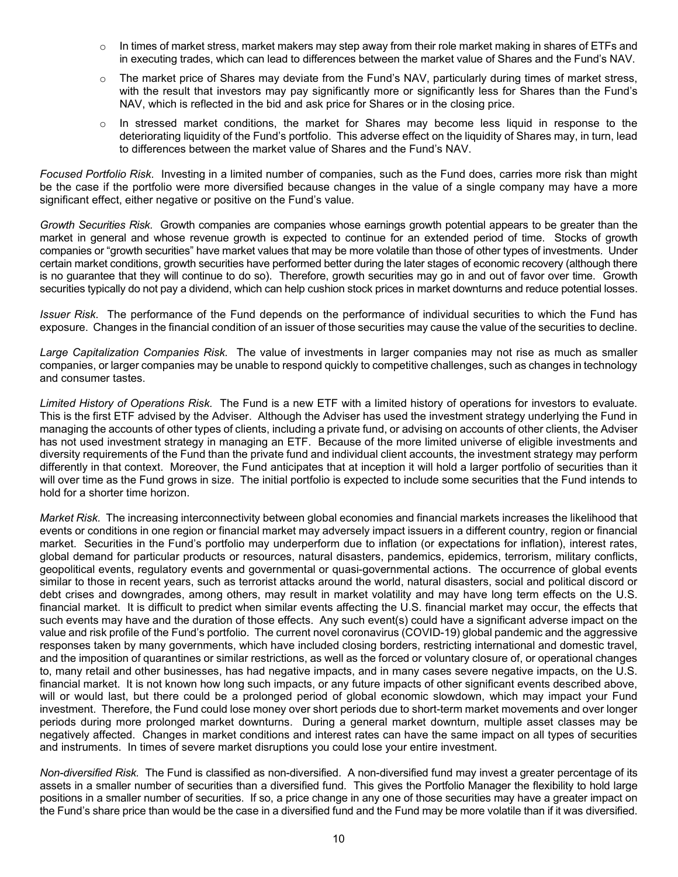- $\circ$  In times of market stress, market makers may step away from their role market making in shares of ETFs and in executing trades, which can lead to differences between the market value of Shares and the Fund's NAV.
- $\circ$  The market price of Shares may deviate from the Fund's NAV, particularly during times of market stress, with the result that investors may pay significantly more or significantly less for Shares than the Fund's NAV, which is reflected in the bid and ask price for Shares or in the closing price.
- o In stressed market conditions, the market for Shares may become less liquid in response to the deteriorating liquidity of the Fund's portfolio. This adverse effect on the liquidity of Shares may, in turn, lead to differences between the market value of Shares and the Fund's NAV.

*Focused Portfolio Risk.* Investing in a limited number of companies, such as the Fund does, carries more risk than might be the case if the portfolio were more diversified because changes in the value of a single company may have a more significant effect, either negative or positive on the Fund's value.

*Growth Securities Risk.* Growth companies are companies whose earnings growth potential appears to be greater than the market in general and whose revenue growth is expected to continue for an extended period of time. Stocks of growth companies or "growth securities" have market values that may be more volatile than those of other types of investments. Under certain market conditions, growth securities have performed better during the later stages of economic recovery (although there is no guarantee that they will continue to do so). Therefore, growth securities may go in and out of favor over time. Growth securities typically do not pay a dividend, which can help cushion stock prices in market downturns and reduce potential losses.

*Issuer Risk.* The performance of the Fund depends on the performance of individual securities to which the Fund has exposure. Changes in the financial condition of an issuer of those securities may cause the value of the securities to decline.

*Large Capitalization Companies Risk.* The value of investments in larger companies may not rise as much as smaller companies, or larger companies may be unable to respond quickly to competitive challenges, such as changes in technology and consumer tastes.

*Limited History of Operations Risk.* The Fund is a new ETF with a limited history of operations for investors to evaluate. This is the first ETF advised by the Adviser. Although the Adviser has used the investment strategy underlying the Fund in managing the accounts of other types of clients, including a private fund, or advising on accounts of other clients, the Adviser has not used investment strategy in managing an ETF. Because of the more limited universe of eligible investments and diversity requirements of the Fund than the private fund and individual client accounts, the investment strategy may perform differently in that context. Moreover, the Fund anticipates that at inception it will hold a larger portfolio of securities than it will over time as the Fund grows in size. The initial portfolio is expected to include some securities that the Fund intends to hold for a shorter time horizon.

*Market Risk.* The increasing interconnectivity between global economies and financial markets increases the likelihood that events or conditions in one region or financial market may adversely impact issuers in a different country, region or financial market. Securities in the Fund's portfolio may underperform due to inflation (or expectations for inflation), interest rates, global demand for particular products or resources, natural disasters, pandemics, epidemics, terrorism, military conflicts, geopolitical events, regulatory events and governmental or quasi-governmental actions. The occurrence of global events similar to those in recent years, such as terrorist attacks around the world, natural disasters, social and political discord or debt crises and downgrades, among others, may result in market volatility and may have long term effects on the U.S. financial market. It is difficult to predict when similar events affecting the U.S. financial market may occur, the effects that such events may have and the duration of those effects. Any such event(s) could have a significant adverse impact on the value and risk profile of the Fund's portfolio. The current novel coronavirus (COVID-19) global pandemic and the aggressive responses taken by many governments, which have included closing borders, restricting international and domestic travel, and the imposition of quarantines or similar restrictions, as well as the forced or voluntary closure of, or operational changes to, many retail and other businesses, has had negative impacts, and in many cases severe negative impacts, on the U.S. financial market. It is not known how long such impacts, or any future impacts of other significant events described above, will or would last, but there could be a prolonged period of global economic slowdown, which may impact your Fund investment. Therefore, the Fund could lose money over short periods due to short-term market movements and over longer periods during more prolonged market downturns. During a general market downturn, multiple asset classes may be negatively affected. Changes in market conditions and interest rates can have the same impact on all types of securities and instruments. In times of severe market disruptions you could lose your entire investment.

*Non-diversified Risk.* The Fund is classified as non-diversified. A non-diversified fund may invest a greater percentage of its assets in a smaller number of securities than a diversified fund. This gives the Portfolio Manager the flexibility to hold large positions in a smaller number of securities. If so, a price change in any one of those securities may have a greater impact on the Fund's share price than would be the case in a diversified fund and the Fund may be more volatile than if it was diversified.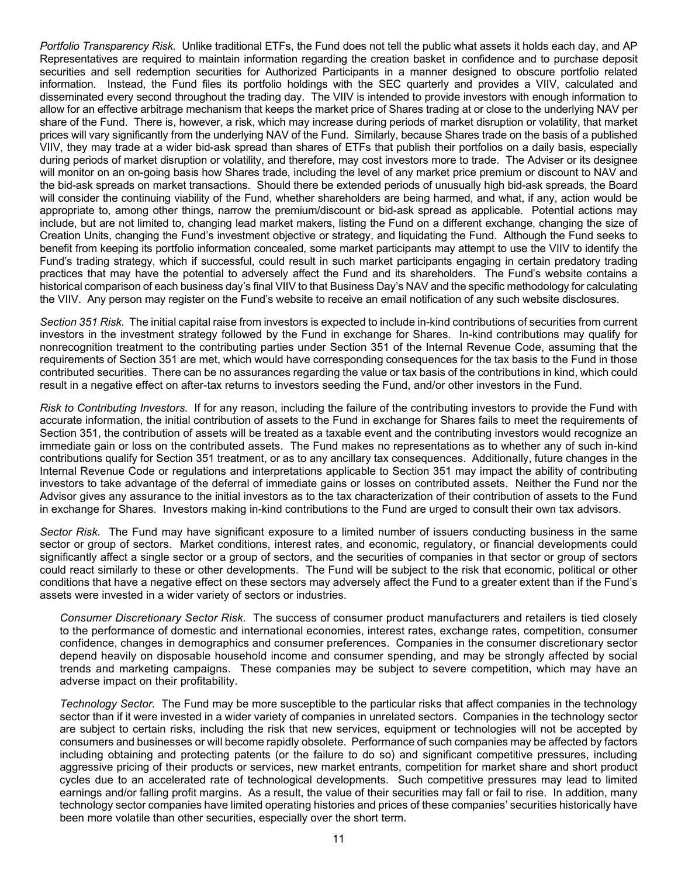*Portfolio Transparency Risk.* Unlike traditional ETFs, the Fund does not tell the public what assets it holds each day, and AP Representatives are required to maintain information regarding the creation basket in confidence and to purchase deposit securities and sell redemption securities for Authorized Participants in a manner designed to obscure portfolio related information. Instead, the Fund files its portfolio holdings with the SEC quarterly and provides a VIIV, calculated and disseminated every second throughout the trading day. The VIIV is intended to provide investors with enough information to allow for an effective arbitrage mechanism that keeps the market price of Shares trading at or close to the underlying NAV per share of the Fund. There is, however, a risk, which may increase during periods of market disruption or volatility, that market prices will vary significantly from the underlying NAV of the Fund. Similarly, because Shares trade on the basis of a published VIIV, they may trade at a wider bid-ask spread than shares of ETFs that publish their portfolios on a daily basis, especially during periods of market disruption or volatility, and therefore, may cost investors more to trade. The Adviser or its designee will monitor on an on-going basis how Shares trade, including the level of any market price premium or discount to NAV and the bid-ask spreads on market transactions. Should there be extended periods of unusually high bid-ask spreads, the Board will consider the continuing viability of the Fund, whether shareholders are being harmed, and what, if any, action would be appropriate to, among other things, narrow the premium/discount or bid-ask spread as applicable. Potential actions may include, but are not limited to, changing lead market makers, listing the Fund on a different exchange, changing the size of Creation Units, changing the Fund's investment objective or strategy, and liquidating the Fund. Although the Fund seeks to benefit from keeping its portfolio information concealed, some market participants may attempt to use the VIIV to identify the Fund's trading strategy, which if successful, could result in such market participants engaging in certain predatory trading practices that may have the potential to adversely affect the Fund and its shareholders. The Fund's website contains a historical comparison of each business day's final VIIV to that Business Day's NAV and the specific methodology for calculating the VIIV. Any person may register on the Fund's website to receive an email notification of any such website disclosures.

*Section 351 Risk.* The initial capital raise from investors is expected to include in-kind contributions of securities from current investors in the investment strategy followed by the Fund in exchange for Shares. In-kind contributions may qualify for nonrecognition treatment to the contributing parties under Section 351 of the Internal Revenue Code, assuming that the requirements of Section 351 are met, which would have corresponding consequences for the tax basis to the Fund in those contributed securities. There can be no assurances regarding the value or tax basis of the contributions in kind, which could result in a negative effect on after-tax returns to investors seeding the Fund, and/or other investors in the Fund.

*Risk to Contributing Investors.* If for any reason, including the failure of the contributing investors to provide the Fund with accurate information, the initial contribution of assets to the Fund in exchange for Shares fails to meet the requirements of Section 351, the contribution of assets will be treated as a taxable event and the contributing investors would recognize an immediate gain or loss on the contributed assets. The Fund makes no representations as to whether any of such in-kind contributions qualify for Section 351 treatment, or as to any ancillary tax consequences. Additionally, future changes in the Internal Revenue Code or regulations and interpretations applicable to Section 351 may impact the ability of contributing investors to take advantage of the deferral of immediate gains or losses on contributed assets. Neither the Fund nor the Advisor gives any assurance to the initial investors as to the tax characterization of their contribution of assets to the Fund in exchange for Shares. Investors making in-kind contributions to the Fund are urged to consult their own tax advisors.

*Sector Risk.* The Fund may have significant exposure to a limited number of issuers conducting business in the same sector or group of sectors. Market conditions, interest rates, and economic, regulatory, or financial developments could significantly affect a single sector or a group of sectors, and the securities of companies in that sector or group of sectors could react similarly to these or other developments. The Fund will be subject to the risk that economic, political or other conditions that have a negative effect on these sectors may adversely affect the Fund to a greater extent than if the Fund's assets were invested in a wider variety of sectors or industries.

*Consumer Discretionary Sector Risk.* The success of consumer product manufacturers and retailers is tied closely to the performance of domestic and international economies, interest rates, exchange rates, competition, consumer confidence, changes in demographics and consumer preferences. Companies in the consumer discretionary sector depend heavily on disposable household income and consumer spending, and may be strongly affected by social trends and marketing campaigns. These companies may be subject to severe competition, which may have an adverse impact on their profitability.

*Technology Sector.* The Fund may be more susceptible to the particular risks that affect companies in the technology sector than if it were invested in a wider variety of companies in unrelated sectors. Companies in the technology sector are subject to certain risks, including the risk that new services, equipment or technologies will not be accepted by consumers and businesses or will become rapidly obsolete. Performance of such companies may be affected by factors including obtaining and protecting patents (or the failure to do so) and significant competitive pressures, including aggressive pricing of their products or services, new market entrants, competition for market share and short product cycles due to an accelerated rate of technological developments. Such competitive pressures may lead to limited earnings and/or falling profit margins. As a result, the value of their securities may fall or fail to rise. In addition, many technology sector companies have limited operating histories and prices of these companies' securities historically have been more volatile than other securities, especially over the short term.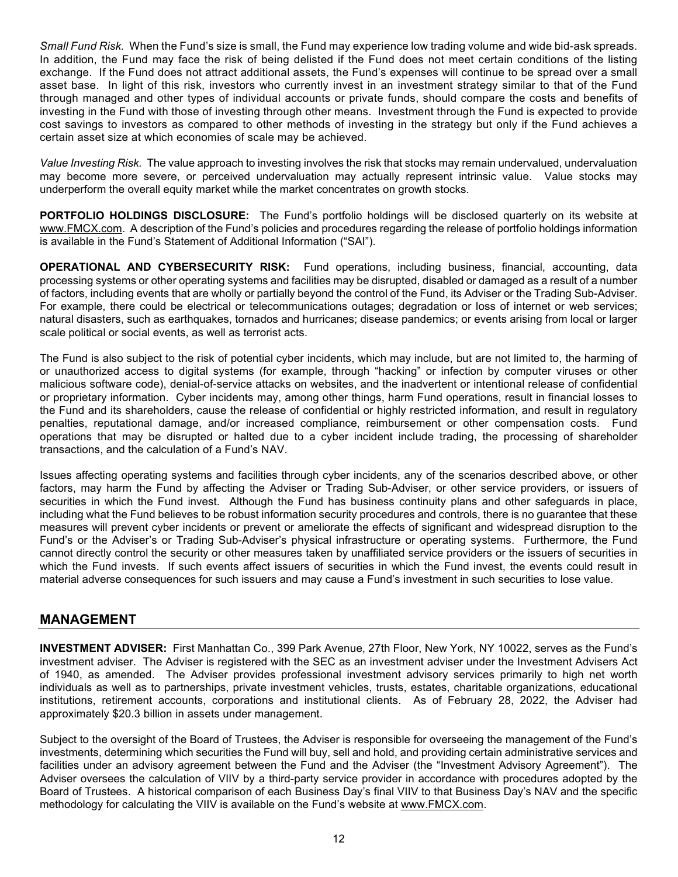*Small Fund Risk.* When the Fund's size is small, the Fund may experience low trading volume and wide bid-ask spreads. In addition, the Fund may face the risk of being delisted if the Fund does not meet certain conditions of the listing exchange. If the Fund does not attract additional assets, the Fund's expenses will continue to be spread over a small asset base. In light of this risk, investors who currently invest in an investment strategy similar to that of the Fund through managed and other types of individual accounts or private funds, should compare the costs and benefits of investing in the Fund with those of investing through other means. Investment through the Fund is expected to provide cost savings to investors as compared to other methods of investing in the strategy but only if the Fund achieves a certain asset size at which economies of scale may be achieved.

*Value Investing Risk.* The value approach to investing involves the risk that stocks may remain undervalued, undervaluation may become more severe, or perceived undervaluation may actually represent intrinsic value. Value stocks may underperform the overall equity market while the market concentrates on growth stocks.

<span id="page-15-0"></span>**PORTFOLIO HOLDINGS DISCLOSURE:** The Fund's portfolio holdings will be disclosed quarterly on its website at [www.FMCX.com.](http://www.fmcx.com/) A description of the Fund's policies and procedures regarding the release of portfolio holdings information is available in the Fund's Statement of Additional Information ("SAI").

<span id="page-15-1"></span>**OPERATIONAL AND CYBERSECURITY RISK:** Fund operations, including business, financial, accounting, data processing systems or other operating systems and facilities may be disrupted, disabled or damaged as a result of a number of factors, including events that are wholly or partially beyond the control of the Fund, its Adviser or the Trading Sub-Adviser. For example, there could be electrical or telecommunications outages; degradation or loss of internet or web services; natural disasters, such as earthquakes, tornados and hurricanes; disease pandemics; or events arising from local or larger scale political or social events, as well as terrorist acts.

The Fund is also subject to the risk of potential cyber incidents, which may include, but are not limited to, the harming of or unauthorized access to digital systems (for example, through "hacking" or infection by computer viruses or other malicious software code), denial-of-service attacks on websites, and the inadvertent or intentional release of confidential or proprietary information. Cyber incidents may, among other things, harm Fund operations, result in financial losses to the Fund and its shareholders, cause the release of confidential or highly restricted information, and result in regulatory penalties, reputational damage, and/or increased compliance, reimbursement or other compensation costs. Fund operations that may be disrupted or halted due to a cyber incident include trading, the processing of shareholder transactions, and the calculation of a Fund's NAV.

Issues affecting operating systems and facilities through cyber incidents, any of the scenarios described above, or other factors, may harm the Fund by affecting the Adviser or Trading Sub-Adviser, or other service providers, or issuers of securities in which the Fund invest. Although the Fund has business continuity plans and other safeguards in place, including what the Fund believes to be robust information security procedures and controls, there is no guarantee that these measures will prevent cyber incidents or prevent or ameliorate the effects of significant and widespread disruption to the Fund's or the Adviser's or Trading Sub-Adviser's physical infrastructure or operating systems. Furthermore, the Fund cannot directly control the security or other measures taken by unaffiliated service providers or the issuers of securities in which the Fund invests. If such events affect issuers of securities in which the Fund invest, the events could result in material adverse consequences for such issuers and may cause a Fund's investment in such securities to lose value.

### <span id="page-15-2"></span>**MANAGEMENT**

<span id="page-15-3"></span>**INVESTMENT ADVISER:** First Manhattan Co., 399 Park Avenue, 27th Floor, New York, NY 10022, serves as the Fund's investment adviser. The Adviser is registered with the SEC as an investment adviser under the Investment Advisers Act of 1940, as amended. The Adviser provides professional investment advisory services primarily to high net worth individuals as well as to partnerships, private investment vehicles, trusts, estates, charitable organizations, educational institutions, retirement accounts, corporations and institutional clients. As of February 28, 2022, the Adviser had approximately \$20.3 billion in assets under management.

Subject to the oversight of the Board of Trustees, the Adviser is responsible for overseeing the management of the Fund's investments, determining which securities the Fund will buy, sell and hold, and providing certain administrative services and facilities under an advisory agreement between the Fund and the Adviser (the "Investment Advisory Agreement"). The Adviser oversees the calculation of VIIV by a third-party service provider in accordance with procedures adopted by the Board of Trustees. A historical comparison of each Business Day's final VIIV to that Business Day's NAV and the specific methodology for calculating the VIIV is available on the Fund's website at [www.FMCX.com.](http://www.fmcx.com/)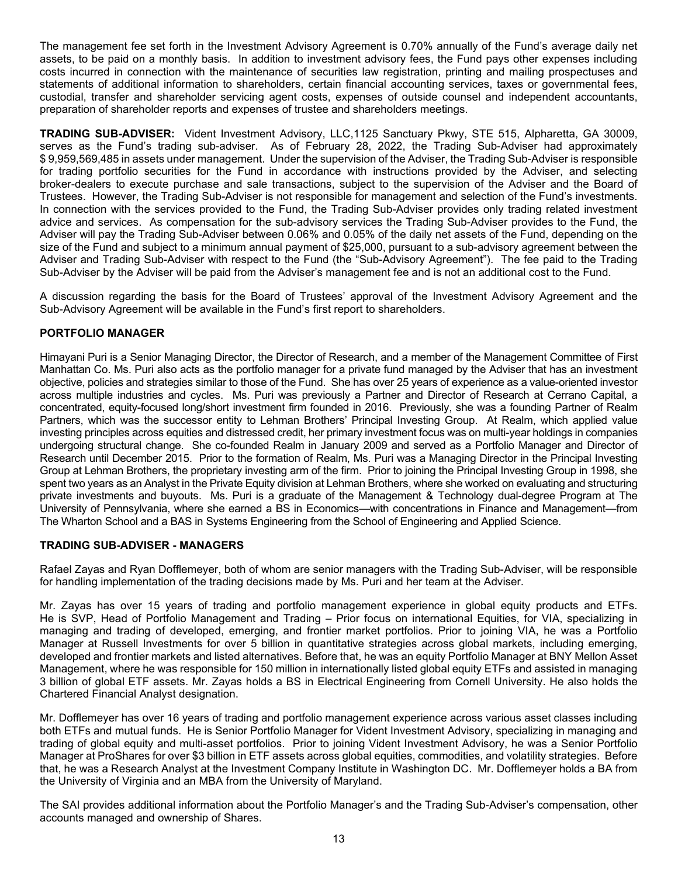The management fee set forth in the Investment Advisory Agreement is 0.70% annually of the Fund's average daily net assets, to be paid on a monthly basis. In addition to investment advisory fees, the Fund pays other expenses including costs incurred in connection with the maintenance of securities law registration, printing and mailing prospectuses and statements of additional information to shareholders, certain financial accounting services, taxes or governmental fees, custodial, transfer and shareholder servicing agent costs, expenses of outside counsel and independent accountants, preparation of shareholder reports and expenses of trustee and shareholders meetings.

**TRADING SUB-ADVISER:** Vident Investment Advisory, LLC,1125 Sanctuary Pkwy, STE 515, Alpharetta, GA 30009, serves as the Fund's trading sub-adviser. As of February 28, 2022, the Trading Sub-Adviser had approximately \$ 9,959,569,485 in assets under management. Under the supervision of the Adviser, the Trading Sub-Adviser is responsible for trading portfolio securities for the Fund in accordance with instructions provided by the Adviser, and selecting broker-dealers to execute purchase and sale transactions, subject to the supervision of the Adviser and the Board of Trustees. However, the Trading Sub-Adviser is not responsible for management and selection of the Fund's investments. In connection with the services provided to the Fund, the Trading Sub-Adviser provides only trading related investment advice and services. As compensation for the sub-advisory services the Trading Sub-Adviser provides to the Fund, the Adviser will pay the Trading Sub-Adviser between 0.06% and 0.05% of the daily net assets of the Fund, depending on the size of the Fund and subject to a minimum annual payment of \$25,000, pursuant to a sub-advisory agreement between the Adviser and Trading Sub-Adviser with respect to the Fund (the "Sub-Advisory Agreement"). The fee paid to the Trading Sub-Adviser by the Adviser will be paid from the Adviser's management fee and is not an additional cost to the Fund.

A discussion regarding the basis for the Board of Trustees' approval of the Investment Advisory Agreement and the Sub-Advisory Agreement will be available in the Fund's first report to shareholders.

### <span id="page-16-0"></span>**PORTFOLIO MANAGER**

Himayani Puri is a Senior Managing Director, the Director of Research, and a member of the Management Committee of First Manhattan Co. Ms. Puri also acts as the portfolio manager for a private fund managed by the Adviser that has an investment objective, policies and strategies similar to those of the Fund. She has over 25 years of experience as a value-oriented investor across multiple industries and cycles. Ms. Puri was previously a Partner and Director of Research at Cerrano Capital, a concentrated, equity-focused long/short investment firm founded in 2016. Previously, she was a founding Partner of Realm Partners, which was the successor entity to Lehman Brothers' Principal Investing Group. At Realm, which applied value investing principles across equities and distressed credit, her primary investment focus was on multi-year holdings in companies undergoing structural change. She co-founded Realm in January 2009 and served as a Portfolio Manager and Director of Research until December 2015. Prior to the formation of Realm, Ms. Puri was a Managing Director in the Principal Investing Group at Lehman Brothers, the proprietary investing arm of the firm. Prior to joining the Principal Investing Group in 1998, she spent two years as an Analyst in the Private Equity division at Lehman Brothers, where she worked on evaluating and structuring private investments and buyouts. Ms. Puri is a graduate of the Management & Technology dual-degree Program at The University of Pennsylvania, where she earned a BS in Economics—with concentrations in Finance and Management—from The Wharton School and a BAS in Systems Engineering from the School of Engineering and Applied Science.

### **TRADING SUB-ADVISER - MANAGERS**

Rafael Zayas and Ryan Dofflemeyer, both of whom are senior managers with the Trading Sub-Adviser, will be responsible for handling implementation of the trading decisions made by Ms. Puri and her team at the Adviser.

Mr. Zayas has over 15 years of trading and portfolio management experience in global equity products and ETFs. He is SVP, Head of Portfolio Management and Trading – Prior focus on international Equities, for VIA, specializing in managing and trading of developed, emerging, and frontier market portfolios. Prior to joining VIA, he was a Portfolio Manager at Russell Investments for over 5 billion in quantitative strategies across global markets, including emerging, developed and frontier markets and listed alternatives. Before that, he was an equity Portfolio Manager at BNY Mellon Asset Management, where he was responsible for 150 million in internationally listed global equity ETFs and assisted in managing 3 billion of global ETF assets. Mr. Zayas holds a BS in Electrical Engineering from Cornell University. He also holds the Chartered Financial Analyst designation.

Mr. Dofflemeyer has over 16 years of trading and portfolio management experience across various asset classes including both ETFs and mutual funds. He is Senior Portfolio Manager for Vident Investment Advisory, specializing in managing and trading of global equity and multi-asset portfolios. Prior to joining Vident Investment Advisory, he was a Senior Portfolio Manager at ProShares for over \$3 billion in ETF assets across global equities, commodities, and volatility strategies. Before that, he was a Research Analyst at the Investment Company Institute in Washington DC. Mr. Dofflemeyer holds a BA from the University of Virginia and an MBA from the University of Maryland.

The SAI provides additional information about the Portfolio Manager's and the Trading Sub-Adviser's compensation, other accounts managed and ownership of Shares.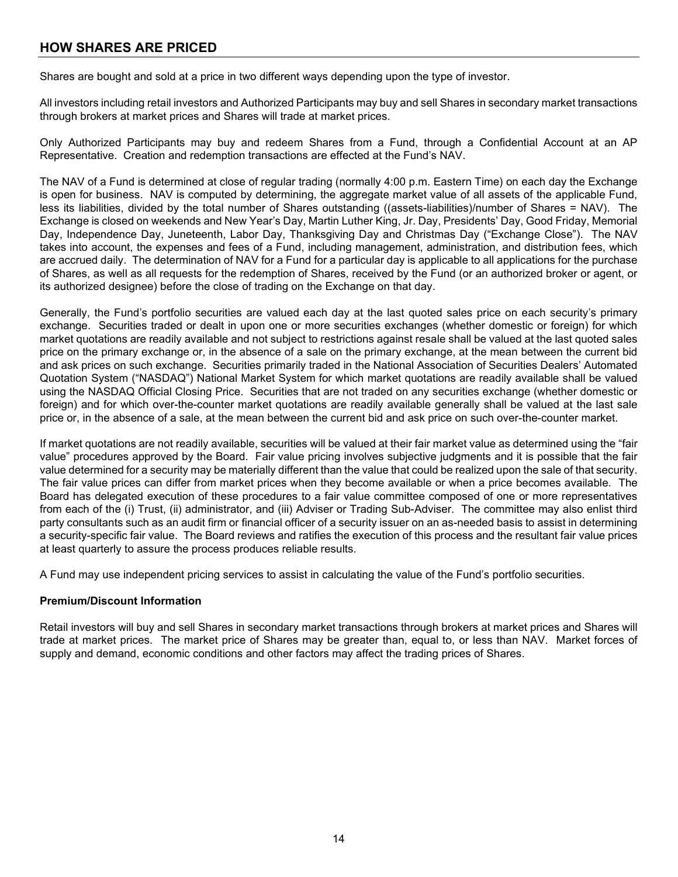# <span id="page-17-0"></span>**HOW SHARES ARE PRICED**

Shares are bought and sold at a price in two different ways depending upon the type of investor.

All investors including retail investors and Authorized Participants may buy and sell Shares in secondary market transactions through brokers at market prices and Shares will trade at market prices.

Only Authorized Participants may buy and redeem Shares from a Fund, through a Confidential Account at an AP Representative. Creation and redemption transactions are effected at the Fund's NAV.

The NAV of a Fund is determined at close of regular trading (normally 4:00 p.m. Eastern Time) on each day the Exchange is open for business. NAV is computed by determining, the aggregate market value of all assets of the applicable Fund, less its liabilities, divided by the total number of Shares outstanding ((assets-liabilities)/number of Shares = NAV). The Exchange is closed on weekends and New Year's Day, Martin Luther King, Jr. Day, Presidents' Day, Good Friday, Memorial Day, Independence Day, Juneteenth, Labor Day, Thanksgiving Day and Christmas Day ("Exchange Close"). The NAV takes into account, the expenses and fees of a Fund, including management, administration, and distribution fees, which are accrued daily. The determination of NAV for a Fund for a particular day is applicable to all applications for the purchase of Shares, as well as all requests for the redemption of Shares, received by the Fund (or an authorized broker or agent, or its authorized designee) before the close of trading on the Exchange on that day.

Generally, the Fund's portfolio securities are valued each day at the last quoted sales price on each security's primary exchange. Securities traded or dealt in upon one or more securities exchanges (whether domestic or foreign) for which market quotations are readily available and not subject to restrictions against resale shall be valued at the last quoted sales price on the primary exchange or, in the absence of a sale on the primary exchange, at the mean between the current bid and ask prices on such exchange. Securities primarily traded in the National Association of Securities Dealers' Automated Quotation System ("NASDAQ") National Market System for which market quotations are readily available shall be valued using the NASDAQ Official Closing Price. Securities that are not traded on any securities exchange (whether domestic or foreign) and for which over-the-counter market quotations are readily available generally shall be valued at the last sale price or, in the absence of a sale, at the mean between the current bid and ask price on such over-the-counter market.

If market quotations are not readily available, securities will be valued at their fair market value as determined using the "fair value" procedures approved by the Board. Fair value pricing involves subjective judgments and it is possible that the fair value determined for a security may be materially different than the value that could be realized upon the sale of that security. The fair value prices can differ from market prices when they become available or when a price becomes available. The Board has delegated execution of these procedures to a fair value committee composed of one or more representatives from each of the (i) Trust, (ii) administrator, and (iii) Adviser or Trading Sub-Adviser. The committee may also enlist third party consultants such as an audit firm or financial officer of a security issuer on an as-needed basis to assist in determining a security-specific fair value. The Board reviews and ratifies the execution of this process and the resultant fair value prices at least quarterly to assure the process produces reliable results.

A Fund may use independent pricing services to assist in calculating the value of the Fund's portfolio securities.

### **Premium/Discount Information**

<span id="page-17-1"></span>Retail investors will buy and sell Shares in secondary market transactions through brokers at market prices and Shares will trade at market prices. The market price of Shares may be greater than, equal to, or less than NAV. Market forces of supply and demand, economic conditions and other factors may affect the trading prices of Shares.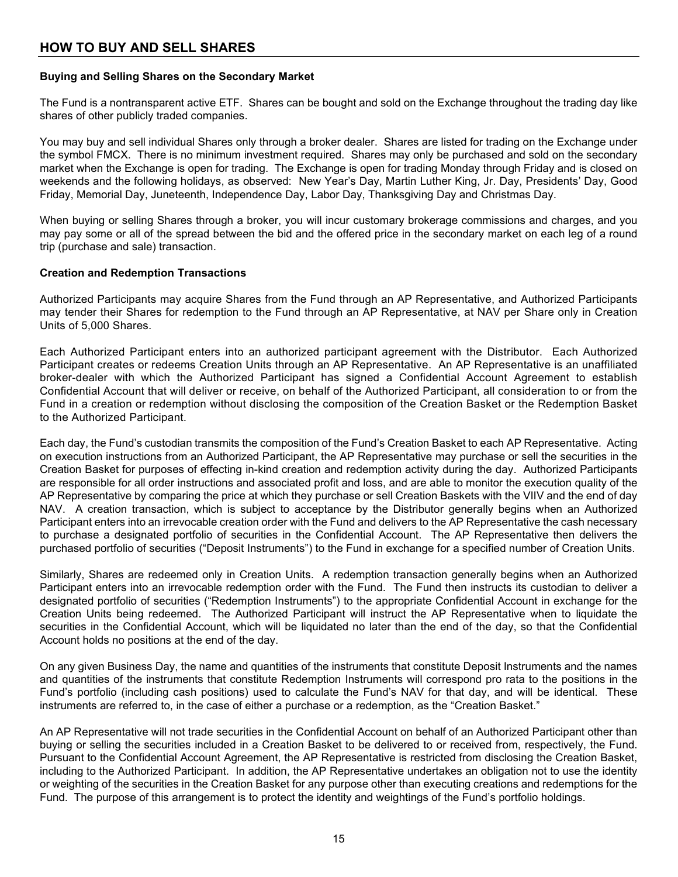# **HOW TO BUY AND SELL SHARES**

### <span id="page-18-0"></span>**Buying and Selling Shares on the Secondary Market**

The Fund is a nontransparent active ETF. Shares can be bought and sold on the Exchange throughout the trading day like shares of other publicly traded companies.

You may buy and sell individual Shares only through a broker dealer. Shares are listed for trading on the Exchange under the symbol FMCX. There is no minimum investment required. Shares may only be purchased and sold on the secondary market when the Exchange is open for trading. The Exchange is open for trading Monday through Friday and is closed on weekends and the following holidays, as observed: New Year's Day, Martin Luther King, Jr. Day, Presidents' Day, Good Friday, Memorial Day, Juneteenth, Independence Day, Labor Day, Thanksgiving Day and Christmas Day.

When buying or selling Shares through a broker, you will incur customary brokerage commissions and charges, and you may pay some or all of the spread between the bid and the offered price in the secondary market on each leg of a round trip (purchase and sale) transaction.

### <span id="page-18-1"></span>**Creation and Redemption Transactions**

Authorized Participants may acquire Shares from the Fund through an AP Representative, and Authorized Participants may tender their Shares for redemption to the Fund through an AP Representative, at NAV per Share only in Creation Units of 5,000 Shares.

Each Authorized Participant enters into an authorized participant agreement with the Distributor. Each Authorized Participant creates or redeems Creation Units through an AP Representative. An AP Representative is an unaffiliated broker-dealer with which the Authorized Participant has signed a Confidential Account Agreement to establish Confidential Account that will deliver or receive, on behalf of the Authorized Participant, all consideration to or from the Fund in a creation or redemption without disclosing the composition of the Creation Basket or the Redemption Basket to the Authorized Participant.

Each day, the Fund's custodian transmits the composition of the Fund's Creation Basket to each AP Representative. Acting on execution instructions from an Authorized Participant, the AP Representative may purchase or sell the securities in the Creation Basket for purposes of effecting in-kind creation and redemption activity during the day. Authorized Participants are responsible for all order instructions and associated profit and loss, and are able to monitor the execution quality of the AP Representative by comparing the price at which they purchase or sell Creation Baskets with the VIIV and the end of day NAV. A creation transaction, which is subject to acceptance by the Distributor generally begins when an Authorized Participant enters into an irrevocable creation order with the Fund and delivers to the AP Representative the cash necessary to purchase a designated portfolio of securities in the Confidential Account. The AP Representative then delivers the purchased portfolio of securities ("Deposit Instruments") to the Fund in exchange for a specified number of Creation Units.

Similarly, Shares are redeemed only in Creation Units. A redemption transaction generally begins when an Authorized Participant enters into an irrevocable redemption order with the Fund. The Fund then instructs its custodian to deliver a designated portfolio of securities ("Redemption Instruments") to the appropriate Confidential Account in exchange for the Creation Units being redeemed. The Authorized Participant will instruct the AP Representative when to liquidate the securities in the Confidential Account, which will be liquidated no later than the end of the day, so that the Confidential Account holds no positions at the end of the day.

On any given Business Day, the name and quantities of the instruments that constitute Deposit Instruments and the names and quantities of the instruments that constitute Redemption Instruments will correspond pro rata to the positions in the Fund's portfolio (including cash positions) used to calculate the Fund's NAV for that day, and will be identical. These instruments are referred to, in the case of either a purchase or a redemption, as the "Creation Basket."

An AP Representative will not trade securities in the Confidential Account on behalf of an Authorized Participant other than buying or selling the securities included in a Creation Basket to be delivered to or received from, respectively, the Fund. Pursuant to the Confidential Account Agreement, the AP Representative is restricted from disclosing the Creation Basket, including to the Authorized Participant. In addition, the AP Representative undertakes an obligation not to use the identity or weighting of the securities in the Creation Basket for any purpose other than executing creations and redemptions for the Fund. The purpose of this arrangement is to protect the identity and weightings of the Fund's portfolio holdings.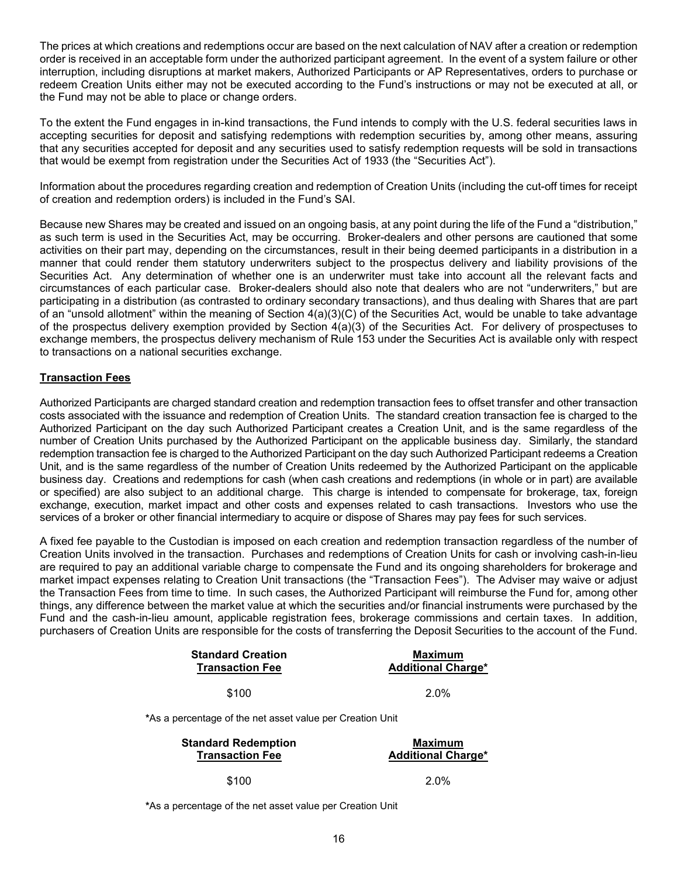The prices at which creations and redemptions occur are based on the next calculation of NAV after a creation or redemption order is received in an acceptable form under the authorized participant agreement. In the event of a system failure or other interruption, including disruptions at market makers, Authorized Participants or AP Representatives, orders to purchase or redeem Creation Units either may not be executed according to the Fund's instructions or may not be executed at all, or the Fund may not be able to place or change orders.

To the extent the Fund engages in in-kind transactions, the Fund intends to comply with the U.S. federal securities laws in accepting securities for deposit and satisfying redemptions with redemption securities by, among other means, assuring that any securities accepted for deposit and any securities used to satisfy redemption requests will be sold in transactions that would be exempt from registration under the Securities Act of 1933 (the "Securities Act").

Information about the procedures regarding creation and redemption of Creation Units (including the cut-off times for receipt of creation and redemption orders) is included in the Fund's SAI.

Because new Shares may be created and issued on an ongoing basis, at any point during the life of the Fund a "distribution," as such term is used in the Securities Act, may be occurring. Broker-dealers and other persons are cautioned that some activities on their part may, depending on the circumstances, result in their being deemed participants in a distribution in a manner that could render them statutory underwriters subject to the prospectus delivery and liability provisions of the Securities Act. Any determination of whether one is an underwriter must take into account all the relevant facts and circumstances of each particular case. Broker-dealers should also note that dealers who are not "underwriters," but are participating in a distribution (as contrasted to ordinary secondary transactions), and thus dealing with Shares that are part of an "unsold allotment" within the meaning of Section 4(a)(3)(C) of the Securities Act, would be unable to take advantage of the prospectus delivery exemption provided by Section 4(a)(3) of the Securities Act. For delivery of prospectuses to exchange members, the prospectus delivery mechanism of Rule 153 under the Securities Act is available only with respect to transactions on a national securities exchange.

### **Transaction Fees**

Authorized Participants are charged standard creation and redemption transaction fees to offset transfer and other transaction costs associated with the issuance and redemption of Creation Units. The standard creation transaction fee is charged to the Authorized Participant on the day such Authorized Participant creates a Creation Unit, and is the same regardless of the number of Creation Units purchased by the Authorized Participant on the applicable business day. Similarly, the standard redemption transaction fee is charged to the Authorized Participant on the day such Authorized Participant redeems a Creation Unit, and is the same regardless of the number of Creation Units redeemed by the Authorized Participant on the applicable business day. Creations and redemptions for cash (when cash creations and redemptions (in whole or in part) are available or specified) are also subject to an additional charge. This charge is intended to compensate for brokerage, tax, foreign exchange, execution, market impact and other costs and expenses related to cash transactions. Investors who use the services of a broker or other financial intermediary to acquire or dispose of Shares may pay fees for such services.

A fixed fee payable to the Custodian is imposed on each creation and redemption transaction regardless of the number of Creation Units involved in the transaction. Purchases and redemptions of Creation Units for cash or involving cash-in-lieu are required to pay an additional variable charge to compensate the Fund and its ongoing shareholders for brokerage and market impact expenses relating to Creation Unit transactions (the "Transaction Fees"). The Adviser may waive or adjust the Transaction Fees from time to time. In such cases, the Authorized Participant will reimburse the Fund for, among other things, any difference between the market value at which the securities and/or financial instruments were purchased by the Fund and the cash-in-lieu amount, applicable registration fees, brokerage commissions and certain taxes. In addition, purchasers of Creation Units are responsible for the costs of transferring the Deposit Securities to the account of the Fund.

| <b>Standard Creation</b><br><b>Transaction Fee</b>        | Maximum<br><b>Additional Charge*</b> |
|-----------------------------------------------------------|--------------------------------------|
| \$100                                                     | $2.0\%$                              |
| *As a percentage of the net asset value per Creation Unit |                                      |

| <b>Standard Redemption</b> | Maximum                   |  |
|----------------------------|---------------------------|--|
| <b>Transaction Fee</b>     | <b>Additional Charge*</b> |  |
| \$100                      | 2.0%                      |  |

<span id="page-19-0"></span>**\***As a percentage of the net asset value per Creation Unit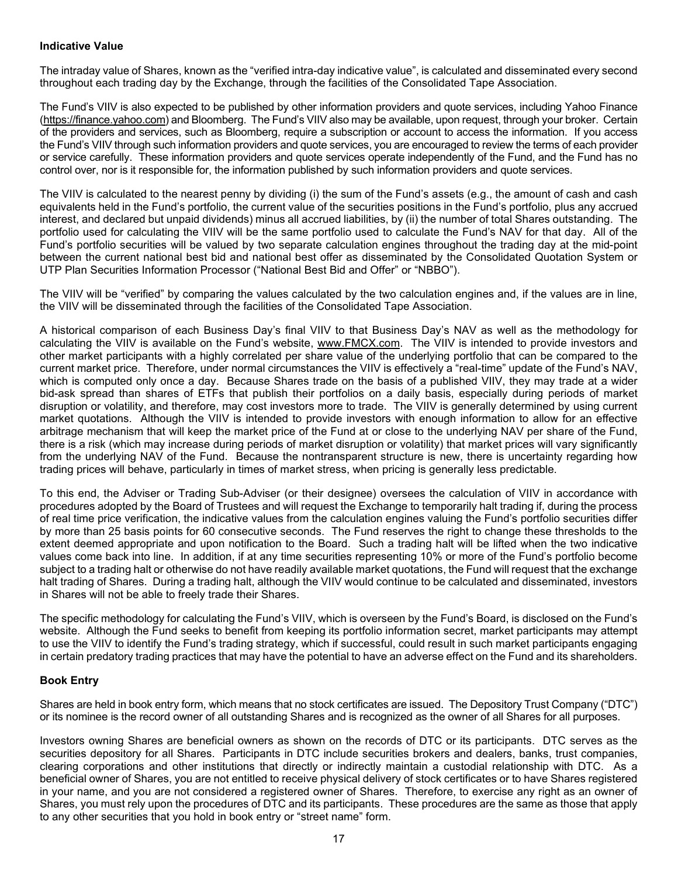#### **Indicative Value**

The intraday value of Shares, known as the "verified intra-day indicative value", is calculated and disseminated every second throughout each trading day by the Exchange, through the facilities of the Consolidated Tape Association.

The Fund's VIIV is also expected to be published by other information providers and quote services, including Yahoo Finance [\(https://finance.yahoo.com\)](https://finance.yahoo.com/) and Bloomberg. The Fund's VIIV also may be available, upon request, through your broker. Certain of the providers and services, such as Bloomberg, require a subscription or account to access the information. If you access the Fund's VIIV through such information providers and quote services, you are encouraged to review the terms of each provider or service carefully. These information providers and quote services operate independently of the Fund, and the Fund has no control over, nor is it responsible for, the information published by such information providers and quote services.

The VIIV is calculated to the nearest penny by dividing (i) the sum of the Fund's assets (e.g., the amount of cash and cash equivalents held in the Fund's portfolio, the current value of the securities positions in the Fund's portfolio, plus any accrued interest, and declared but unpaid dividends) minus all accrued liabilities, by (ii) the number of total Shares outstanding. The portfolio used for calculating the VIIV will be the same portfolio used to calculate the Fund's NAV for that day. All of the Fund's portfolio securities will be valued by two separate calculation engines throughout the trading day at the mid-point between the current national best bid and national best offer as disseminated by the Consolidated Quotation System or UTP Plan Securities Information Processor ("National Best Bid and Offer" or "NBBO").

The VIIV will be "verified" by comparing the values calculated by the two calculation engines and, if the values are in line, the VIIV will be disseminated through the facilities of the Consolidated Tape Association.

A historical comparison of each Business Day's final VIIV to that Business Day's NAV as well as the methodology for calculating the VIIV is available on the Fund's website, [www.FMCX.com.](http://www.fmcx.com/) The VIIV is intended to provide investors and other market participants with a highly correlated per share value of the underlying portfolio that can be compared to the current market price. Therefore, under normal circumstances the VIIV is effectively a "real-time" update of the Fund's NAV, which is computed only once a day. Because Shares trade on the basis of a published VIIV, they may trade at a wider bid-ask spread than shares of ETFs that publish their portfolios on a daily basis, especially during periods of market disruption or volatility, and therefore, may cost investors more to trade. The VIIV is generally determined by using current market quotations. Although the VIIV is intended to provide investors with enough information to allow for an effective arbitrage mechanism that will keep the market price of the Fund at or close to the underlying NAV per share of the Fund, there is a risk (which may increase during periods of market disruption or volatility) that market prices will vary significantly from the underlying NAV of the Fund. Because the nontransparent structure is new, there is uncertainty regarding how trading prices will behave, particularly in times of market stress, when pricing is generally less predictable.

To this end, the Adviser or Trading Sub-Adviser (or their designee) oversees the calculation of VIIV in accordance with procedures adopted by the Board of Trustees and will request the Exchange to temporarily halt trading if, during the process of real time price verification, the indicative values from the calculation engines valuing the Fund's portfolio securities differ by more than 25 basis points for 60 consecutive seconds. The Fund reserves the right to change these thresholds to the extent deemed appropriate and upon notification to the Board. Such a trading halt will be lifted when the two indicative values come back into line. In addition, if at any time securities representing 10% or more of the Fund's portfolio become subject to a trading halt or otherwise do not have readily available market quotations, the Fund will request that the exchange halt trading of Shares. During a trading halt, although the VIIV would continue to be calculated and disseminated, investors in Shares will not be able to freely trade their Shares.

The specific methodology for calculating the Fund's VIIV, which is overseen by the Fund's Board, is disclosed on the Fund's website. Although the Fund seeks to benefit from keeping its portfolio information secret, market participants may attempt to use the VIIV to identify the Fund's trading strategy, which if successful, could result in such market participants engaging in certain predatory trading practices that may have the potential to have an adverse effect on the Fund and its shareholders.

### <span id="page-20-0"></span>**Book Entry**

Shares are held in book entry form, which means that no stock certificates are issued. The Depository Trust Company ("DTC") or its nominee is the record owner of all outstanding Shares and is recognized as the owner of all Shares for all purposes.

<span id="page-20-1"></span>Investors owning Shares are beneficial owners as shown on the records of DTC or its participants. DTC serves as the securities depository for all Shares. Participants in DTC include securities brokers and dealers, banks, trust companies, clearing corporations and other institutions that directly or indirectly maintain a custodial relationship with DTC. As a beneficial owner of Shares, you are not entitled to receive physical delivery of stock certificates or to have Shares registered in your name, and you are not considered a registered owner of Shares. Therefore, to exercise any right as an owner of Shares, you must rely upon the procedures of DTC and its participants. These procedures are the same as those that apply to any other securities that you hold in book entry or "street name" form.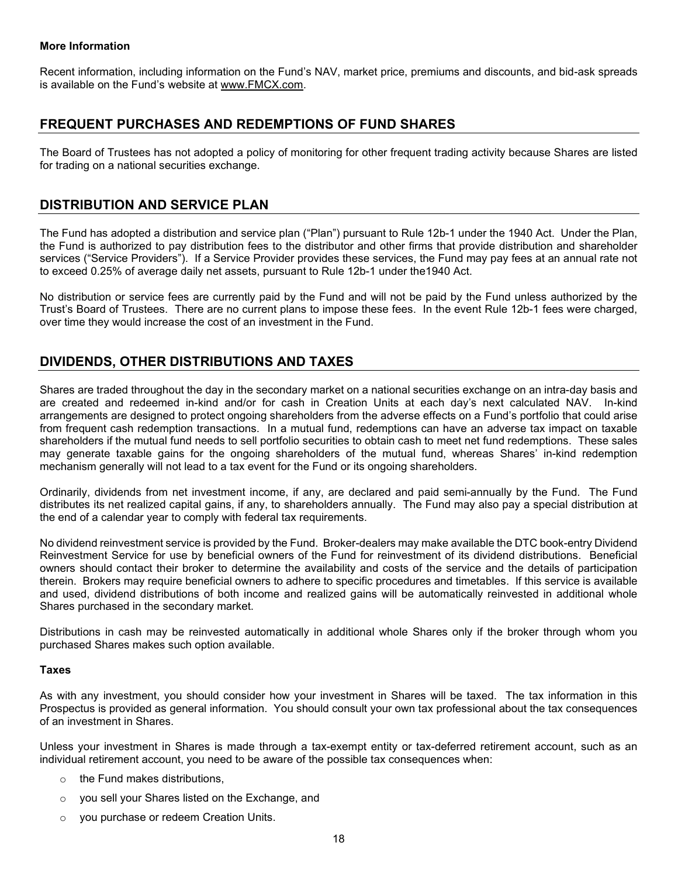#### **More Information**

Recent information, including information on the Fund's NAV, market price, premiums and discounts, and bid-ask spreads is available on the Fund's website at [www.FMCX.com.](http://www.fmcx.com/)

# <span id="page-21-0"></span>**FREQUENT PURCHASES AND REDEMPTIONS OF FUND SHARES**

The Board of Trustees has not adopted a policy of monitoring for other frequent trading activity because Shares are listed for trading on a national securities exchange.

### <span id="page-21-1"></span>**DISTRIBUTION AND SERVICE PLAN**

The Fund has adopted a distribution and service plan ("Plan") pursuant to Rule 12b-1 under the 1940 Act. Under the Plan, the Fund is authorized to pay distribution fees to the distributor and other firms that provide distribution and shareholder services ("Service Providers"). If a Service Provider provides these services, the Fund may pay fees at an annual rate not to exceed 0.25% of average daily net assets, pursuant to Rule 12b-1 under the1940 Act.

No distribution or service fees are currently paid by the Fund and will not be paid by the Fund unless authorized by the Trust's Board of Trustees. There are no current plans to impose these fees. In the event Rule 12b-1 fees were charged, over time they would increase the cost of an investment in the Fund.

# <span id="page-21-2"></span>**DIVIDENDS, OTHER DISTRIBUTIONS AND TAXES**

Shares are traded throughout the day in the secondary market on a national securities exchange on an intra-day basis and are created and redeemed in-kind and/or for cash in Creation Units at each day's next calculated NAV. In-kind arrangements are designed to protect ongoing shareholders from the adverse effects on a Fund's portfolio that could arise from frequent cash redemption transactions. In a mutual fund, redemptions can have an adverse tax impact on taxable shareholders if the mutual fund needs to sell portfolio securities to obtain cash to meet net fund redemptions. These sales may generate taxable gains for the ongoing shareholders of the mutual fund, whereas Shares' in-kind redemption mechanism generally will not lead to a tax event for the Fund or its ongoing shareholders.

Ordinarily, dividends from net investment income, if any, are declared and paid semi-annually by the Fund. The Fund distributes its net realized capital gains, if any, to shareholders annually. The Fund may also pay a special distribution at the end of a calendar year to comply with federal tax requirements.

No dividend reinvestment service is provided by the Fund. Broker-dealers may make available the DTC book-entry Dividend Reinvestment Service for use by beneficial owners of the Fund for reinvestment of its dividend distributions. Beneficial owners should contact their broker to determine the availability and costs of the service and the details of participation therein. Brokers may require beneficial owners to adhere to specific procedures and timetables. If this service is available and used, dividend distributions of both income and realized gains will be automatically reinvested in additional whole Shares purchased in the secondary market.

Distributions in cash may be reinvested automatically in additional whole Shares only if the broker through whom you purchased Shares makes such option available.

#### <span id="page-21-3"></span>**Taxes**

As with any investment, you should consider how your investment in Shares will be taxed. The tax information in this Prospectus is provided as general information. You should consult your own tax professional about the tax consequences of an investment in Shares.

Unless your investment in Shares is made through a tax-exempt entity or tax-deferred retirement account, such as an individual retirement account, you need to be aware of the possible tax consequences when:

- o the Fund makes distributions,
- o you sell your Shares listed on the Exchange, and
- <span id="page-21-4"></span>o you purchase or redeem Creation Units.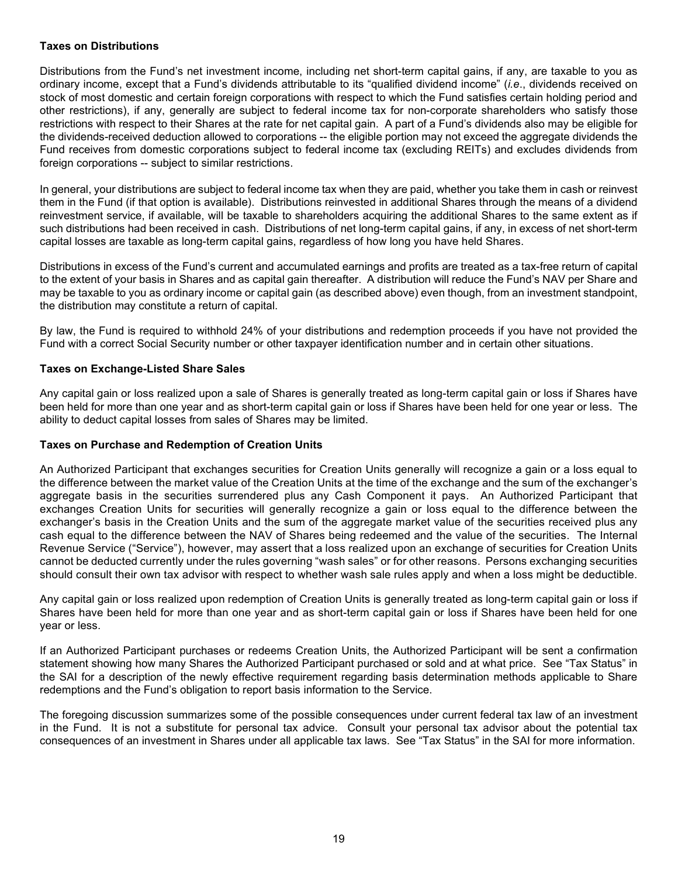### **Taxes on Distributions**

Distributions from the Fund's net investment income, including net short-term capital gains, if any, are taxable to you as ordinary income, except that a Fund's dividends attributable to its "qualified dividend income" (*i.e*., dividends received on stock of most domestic and certain foreign corporations with respect to which the Fund satisfies certain holding period and other restrictions), if any, generally are subject to federal income tax for non-corporate shareholders who satisfy those restrictions with respect to their Shares at the rate for net capital gain. A part of a Fund's dividends also may be eligible for the dividends-received deduction allowed to corporations -- the eligible portion may not exceed the aggregate dividends the Fund receives from domestic corporations subject to federal income tax (excluding REITs) and excludes dividends from foreign corporations -- subject to similar restrictions.

In general, your distributions are subject to federal income tax when they are paid, whether you take them in cash or reinvest them in the Fund (if that option is available). Distributions reinvested in additional Shares through the means of a dividend reinvestment service, if available, will be taxable to shareholders acquiring the additional Shares to the same extent as if such distributions had been received in cash. Distributions of net long-term capital gains, if any, in excess of net short-term capital losses are taxable as long-term capital gains, regardless of how long you have held Shares.

Distributions in excess of the Fund's current and accumulated earnings and profits are treated as a tax-free return of capital to the extent of your basis in Shares and as capital gain thereafter. A distribution will reduce the Fund's NAV per Share and may be taxable to you as ordinary income or capital gain (as described above) even though, from an investment standpoint, the distribution may constitute a return of capital.

By law, the Fund is required to withhold 24% of your distributions and redemption proceeds if you have not provided the Fund with a correct Social Security number or other taxpayer identification number and in certain other situations.

### <span id="page-22-0"></span>**Taxes on Exchange-Listed Share Sales**

Any capital gain or loss realized upon a sale of Shares is generally treated as long-term capital gain or loss if Shares have been held for more than one year and as short-term capital gain or loss if Shares have been held for one year or less. The ability to deduct capital losses from sales of Shares may be limited.

### <span id="page-22-1"></span>**Taxes on Purchase and Redemption of Creation Units**

An Authorized Participant that exchanges securities for Creation Units generally will recognize a gain or a loss equal to the difference between the market value of the Creation Units at the time of the exchange and the sum of the exchanger's aggregate basis in the securities surrendered plus any Cash Component it pays. An Authorized Participant that exchanges Creation Units for securities will generally recognize a gain or loss equal to the difference between the exchanger's basis in the Creation Units and the sum of the aggregate market value of the securities received plus any cash equal to the difference between the NAV of Shares being redeemed and the value of the securities. The Internal Revenue Service ("Service"), however, may assert that a loss realized upon an exchange of securities for Creation Units cannot be deducted currently under the rules governing "wash sales" or for other reasons. Persons exchanging securities should consult their own tax advisor with respect to whether wash sale rules apply and when a loss might be deductible.

Any capital gain or loss realized upon redemption of Creation Units is generally treated as long-term capital gain or loss if Shares have been held for more than one year and as short-term capital gain or loss if Shares have been held for one year or less.

If an Authorized Participant purchases or redeems Creation Units, the Authorized Participant will be sent a confirmation statement showing how many Shares the Authorized Participant purchased or sold and at what price. See "Tax Status" in the SAI for a description of the newly effective requirement regarding basis determination methods applicable to Share redemptions and the Fund's obligation to report basis information to the Service.

<span id="page-22-2"></span>The foregoing discussion summarizes some of the possible consequences under current federal tax law of an investment in the Fund. It is not a substitute for personal tax advice. Consult your personal tax advisor about the potential tax consequences of an investment in Shares under all applicable tax laws. See "Tax Status" in the SAI for more information.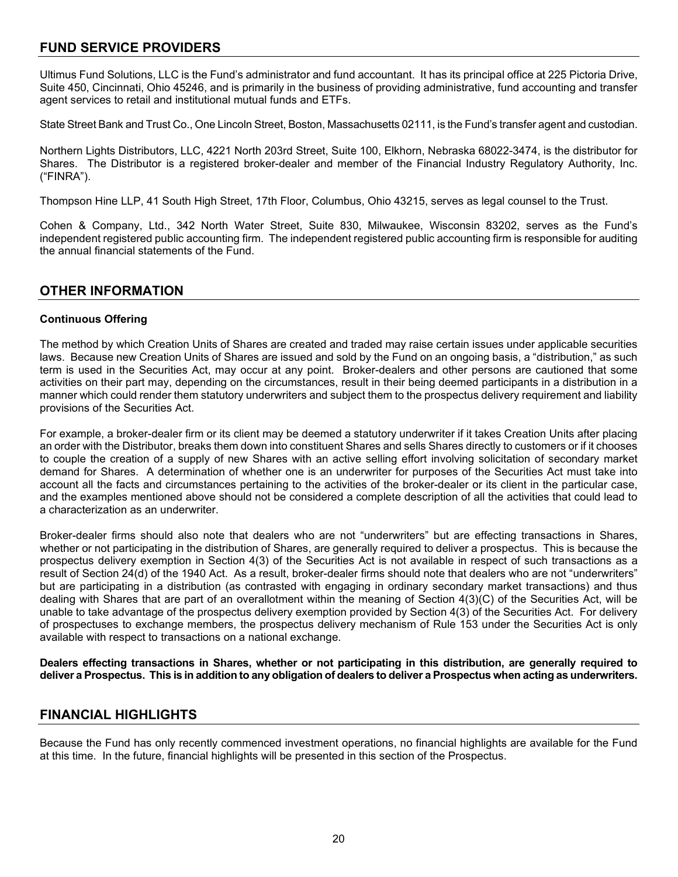# **FUND SERVICE PROVIDERS**

Ultimus Fund Solutions, LLC is the Fund's administrator and fund accountant. It has its principal office at 225 Pictoria Drive, Suite 450, Cincinnati, Ohio 45246, and is primarily in the business of providing administrative, fund accounting and transfer agent services to retail and institutional mutual funds and ETFs.

State Street Bank and Trust Co., One Lincoln Street, Boston, Massachusetts 02111, is the Fund's transfer agent and custodian.

Northern Lights Distributors, LLC, 4221 North 203rd Street, Suite 100, Elkhorn, Nebraska 68022-3474, is the distributor for Shares. The Distributor is a registered broker-dealer and member of the Financial Industry Regulatory Authority, Inc. ("FINRA").

Thompson Hine LLP, 41 South High Street, 17th Floor, Columbus, Ohio 43215, serves as legal counsel to the Trust.

Cohen & Company, Ltd., 342 North Water Street, Suite 830, Milwaukee, Wisconsin 83202, serves as the Fund's independent registered public accounting firm. The independent registered public accounting firm is responsible for auditing the annual financial statements of the Fund.

### <span id="page-23-0"></span>**OTHER INFORMATION**

### <span id="page-23-1"></span>**Continuous Offering**

The method by which Creation Units of Shares are created and traded may raise certain issues under applicable securities laws. Because new Creation Units of Shares are issued and sold by the Fund on an ongoing basis, a "distribution," as such term is used in the Securities Act, may occur at any point. Broker-dealers and other persons are cautioned that some activities on their part may, depending on the circumstances, result in their being deemed participants in a distribution in a manner which could render them statutory underwriters and subject them to the prospectus delivery requirement and liability provisions of the Securities Act.

For example, a broker-dealer firm or its client may be deemed a statutory underwriter if it takes Creation Units after placing an order with the Distributor, breaks them down into constituent Shares and sells Shares directly to customers or if it chooses to couple the creation of a supply of new Shares with an active selling effort involving solicitation of secondary market demand for Shares. A determination of whether one is an underwriter for purposes of the Securities Act must take into account all the facts and circumstances pertaining to the activities of the broker-dealer or its client in the particular case, and the examples mentioned above should not be considered a complete description of all the activities that could lead to a characterization as an underwriter.

Broker-dealer firms should also note that dealers who are not "underwriters" but are effecting transactions in Shares, whether or not participating in the distribution of Shares, are generally required to deliver a prospectus. This is because the prospectus delivery exemption in Section 4(3) of the Securities Act is not available in respect of such transactions as a result of Section 24(d) of the 1940 Act. As a result, broker-dealer firms should note that dealers who are not "underwriters" but are participating in a distribution (as contrasted with engaging in ordinary secondary market transactions) and thus dealing with Shares that are part of an overallotment within the meaning of Section 4(3)(C) of the Securities Act, will be unable to take advantage of the prospectus delivery exemption provided by Section 4(3) of the Securities Act. For delivery of prospectuses to exchange members, the prospectus delivery mechanism of Rule 153 under the Securities Act is only available with respect to transactions on a national exchange.

**Dealers effecting transactions in Shares, whether or not participating in this distribution, are generally required to** deliver a Prospectus. This is in addition to any obligation of dealers to deliver a Prospectus when acting as underwriters.

# <span id="page-23-2"></span>**FINANCIAL HIGHLIGHTS**

Because the Fund has only recently commenced investment operations, no financial highlights are available for the Fund at this time. In the future, financial highlights will be presented in this section of the Prospectus.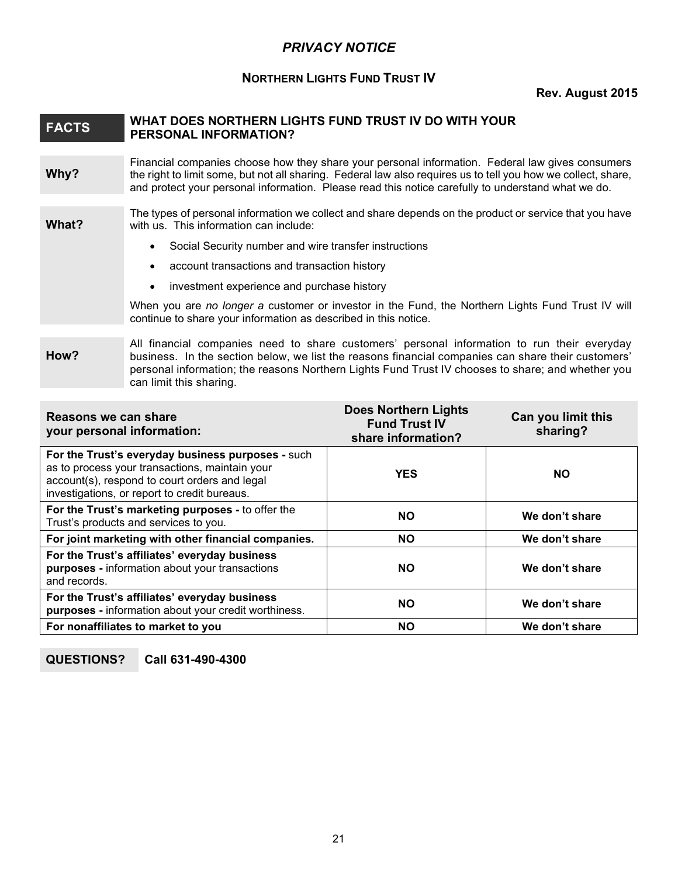# *PRIVACY NOTICE*

# **NORTHERN LIGHTS FUND TRUST IV**

### **Rev. August 2015**

### <span id="page-24-0"></span>**FACTS WHAT DOES NORTHERN LIGHTS FUND TRUST IV DO WITH YOUR PERSONAL INFORMATION?**

**Why?** Financial companies choose how they share your personal information. Federal law gives consumers the right to limit some, but not all sharing. Federal law also requires us to tell you how we collect, share, and protect your personal information. Please read this notice carefully to understand what we do.

**What?** The types of personal information we collect and share depends on the product or service that you have with us. This information can include:

- Social Security number and wire transfer instructions
- account transactions and transaction history
- investment experience and purchase history

When you are *no longer a* customer or investor in the Fund, the Northern Lights Fund Trust IV will continue to share your information as described in this notice.

#### **How?** All financial companies need to share customers' personal information to run their everyday business. In the section below, we list the reasons financial companies can share their customers' personal information; the reasons Northern Lights Fund Trust IV chooses to share; and whether you can limit this sharing.

| Reasons we can share<br>your personal information:                                                                                                                                                   | <b>Does Northern Lights</b><br><b>Fund Trust IV</b><br>share information? | Can you limit this<br>sharing? |
|------------------------------------------------------------------------------------------------------------------------------------------------------------------------------------------------------|---------------------------------------------------------------------------|--------------------------------|
| For the Trust's everyday business purposes - such<br>as to process your transactions, maintain your<br>account(s), respond to court orders and legal<br>investigations, or report to credit bureaus. | <b>YES</b>                                                                | <b>NO</b>                      |
| For the Trust's marketing purposes - to offer the<br>Trust's products and services to you.                                                                                                           | <b>NO</b>                                                                 | We don't share                 |
| For joint marketing with other financial companies.                                                                                                                                                  | <b>NO</b>                                                                 | We don't share                 |
| For the Trust's affiliates' everyday business<br>purposes - information about your transactions<br>and records.                                                                                      | <b>NO</b>                                                                 | We don't share                 |
| For the Trust's affiliates' everyday business<br>purposes - information about your credit worthiness.                                                                                                | <b>NO</b>                                                                 | We don't share                 |
| For nonaffiliates to market to you                                                                                                                                                                   | <b>NO</b>                                                                 | We don't share                 |

# **QUESTIONS? Call 631-490-4300**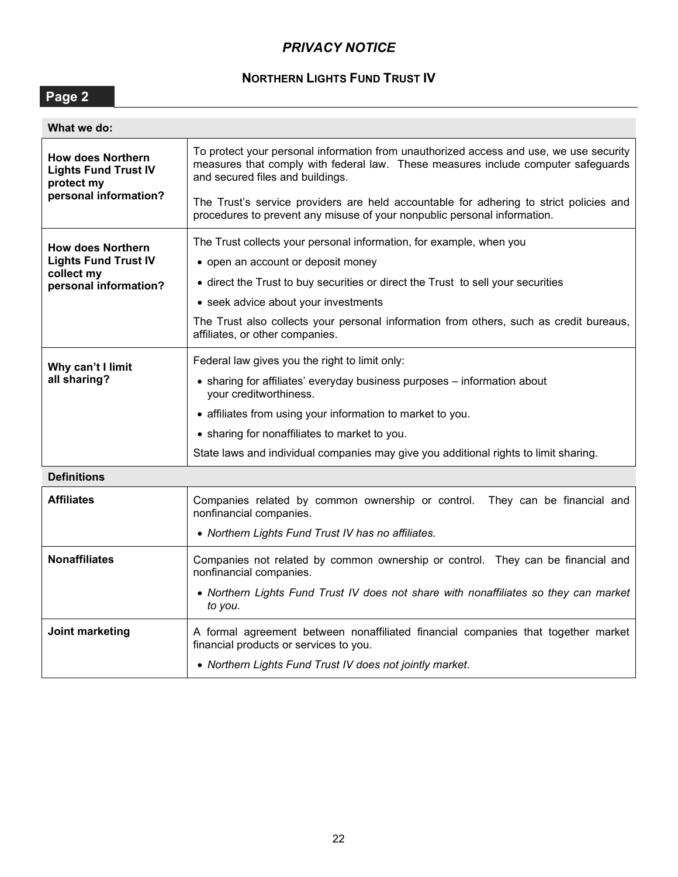# *PRIVACY NOTICE*

# **NORTHERN LIGHTS FUND TRUST IV**

**Page 2**

| What we do:                                                           |                                                                                                                                                                                                                 |  |
|-----------------------------------------------------------------------|-----------------------------------------------------------------------------------------------------------------------------------------------------------------------------------------------------------------|--|
| <b>How does Northern</b><br><b>Lights Fund Trust IV</b><br>protect my | To protect your personal information from unauthorized access and use, we use security<br>measures that comply with federal law. These measures include computer safeguards<br>and secured files and buildings. |  |
| personal information?                                                 | The Trust's service providers are held accountable for adhering to strict policies and<br>procedures to prevent any misuse of your nonpublic personal information.                                              |  |
| <b>How does Northern</b>                                              | The Trust collects your personal information, for example, when you                                                                                                                                             |  |
| <b>Lights Fund Trust IV</b>                                           | • open an account or deposit money                                                                                                                                                                              |  |
| collect my<br>personal information?                                   | • direct the Trust to buy securities or direct the Trust to sell your securities                                                                                                                                |  |
|                                                                       | • seek advice about your investments                                                                                                                                                                            |  |
|                                                                       | The Trust also collects your personal information from others, such as credit bureaus,<br>affiliates, or other companies.                                                                                       |  |
| Why can't I limit                                                     | Federal law gives you the right to limit only:                                                                                                                                                                  |  |
| all sharing?                                                          | • sharing for affiliates' everyday business purposes - information about<br>your creditworthiness.                                                                                                              |  |
|                                                                       | • affiliates from using your information to market to you.                                                                                                                                                      |  |
|                                                                       | • sharing for nonaffiliates to market to you.                                                                                                                                                                   |  |
|                                                                       | State laws and individual companies may give you additional rights to limit sharing.                                                                                                                            |  |
| <b>Definitions</b>                                                    |                                                                                                                                                                                                                 |  |
| <b>Affiliates</b>                                                     | Companies related by common ownership or control.<br>They can be financial and<br>nonfinancial companies.                                                                                                       |  |
|                                                                       | • Northern Lights Fund Trust IV has no affiliates.                                                                                                                                                              |  |
| <b>Nonaffiliates</b>                                                  | Companies not related by common ownership or control. They can be financial and<br>nonfinancial companies.                                                                                                      |  |
|                                                                       | • Northern Lights Fund Trust IV does not share with nonaffiliates so they can market<br>to you.                                                                                                                 |  |
| Joint marketing                                                       | A formal agreement between nonaffiliated financial companies that together market<br>financial products or services to you.                                                                                     |  |
|                                                                       | • Northern Lights Fund Trust IV does not jointly market.                                                                                                                                                        |  |